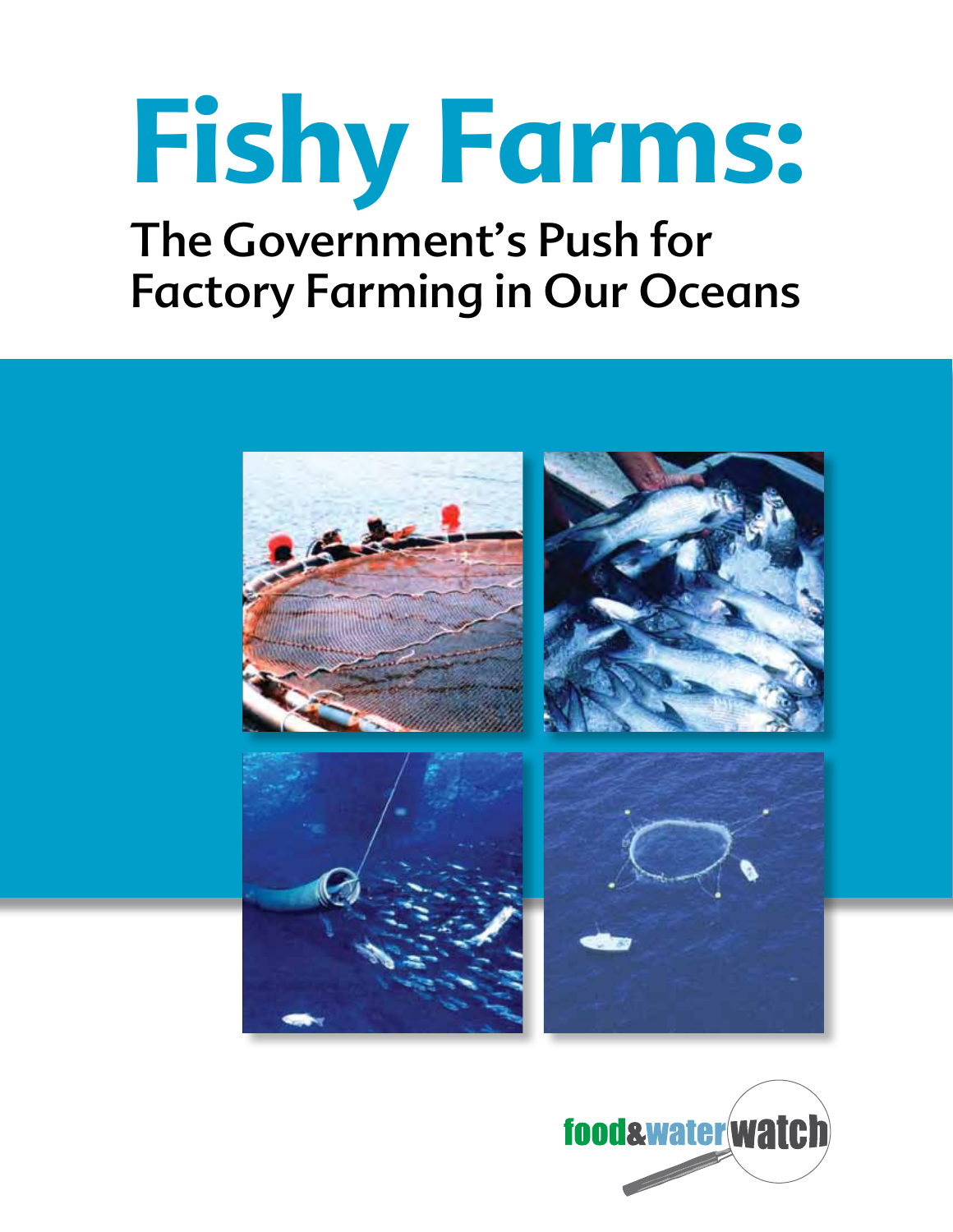# **Fishy Farms:**  The Government's Push for Factory Farming in Our Oceans



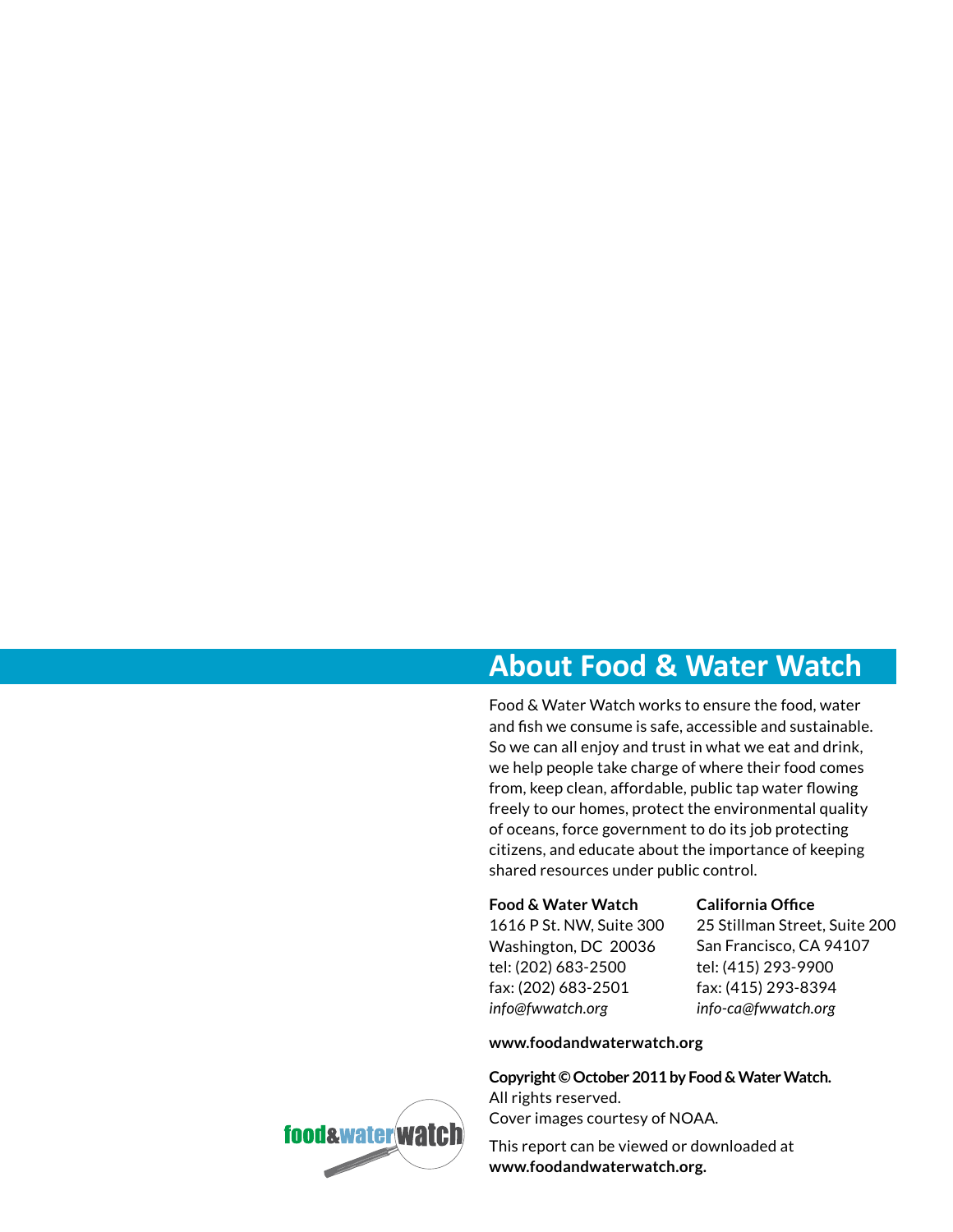# **About Food & Water Watch**

Food & Water Watch works to ensure the food, water and fish we consume is safe, accessible and sustainable. So we can all enjoy and trust in what we eat and drink, we help people take charge of where their food comes from, keep clean, affordable, public tap water flowing freely to our homes, protect the environmental quality of oceans, force government to do its job protecting citizens, and educate about the importance of keeping shared resources under public control.

#### **Food & Water Watch**

1616 P St. NW, Suite 300 Washington, DC 20036 tel: (202) 683-2500 fax: (202) 683-2501 *info@fwwatch.org*

#### **California Office**

25 Stillman Street, Suite 200 San Francisco, CA 94107 tel: (415) 293-9900 fax: (415) 293-8394 *info-ca@fwwatch.org*

#### **www.foodandwaterwatch.org**

**Copyright © October 2011 by Food & Water Watch.**  All rights reserved. Cover images courtesy of NOAA.

This report can be viewed or downloaded at **www.foodandwaterwatch.org.**

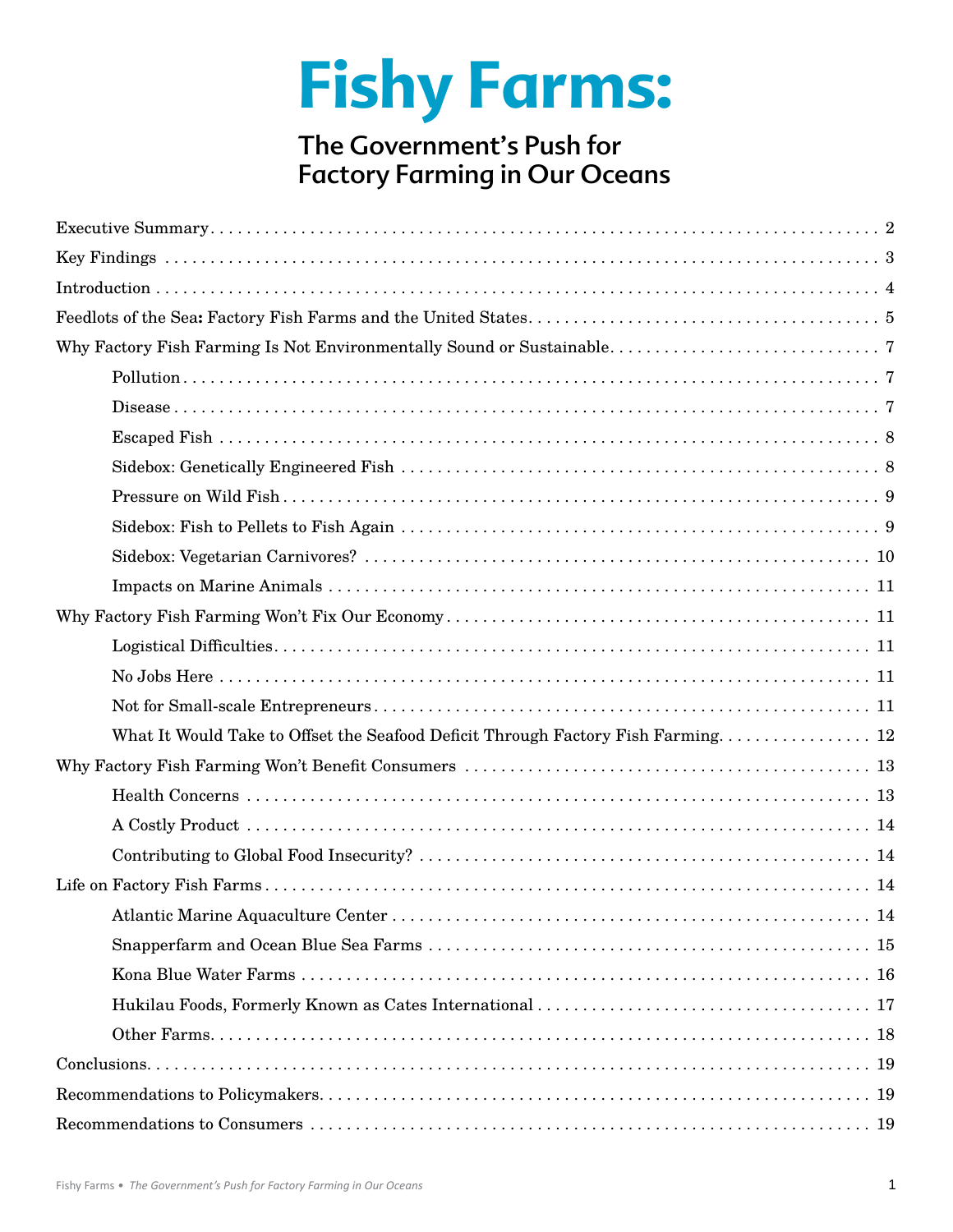# **Fishy Farms:**

# The Government's Push for Factory Farming in Our Oceans

| What It Would Take to Offset the Seafood Deficit Through Factory Fish Farming 12 |
|----------------------------------------------------------------------------------|
|                                                                                  |
|                                                                                  |
|                                                                                  |
|                                                                                  |
|                                                                                  |
|                                                                                  |
|                                                                                  |
|                                                                                  |
|                                                                                  |
|                                                                                  |
|                                                                                  |
|                                                                                  |
|                                                                                  |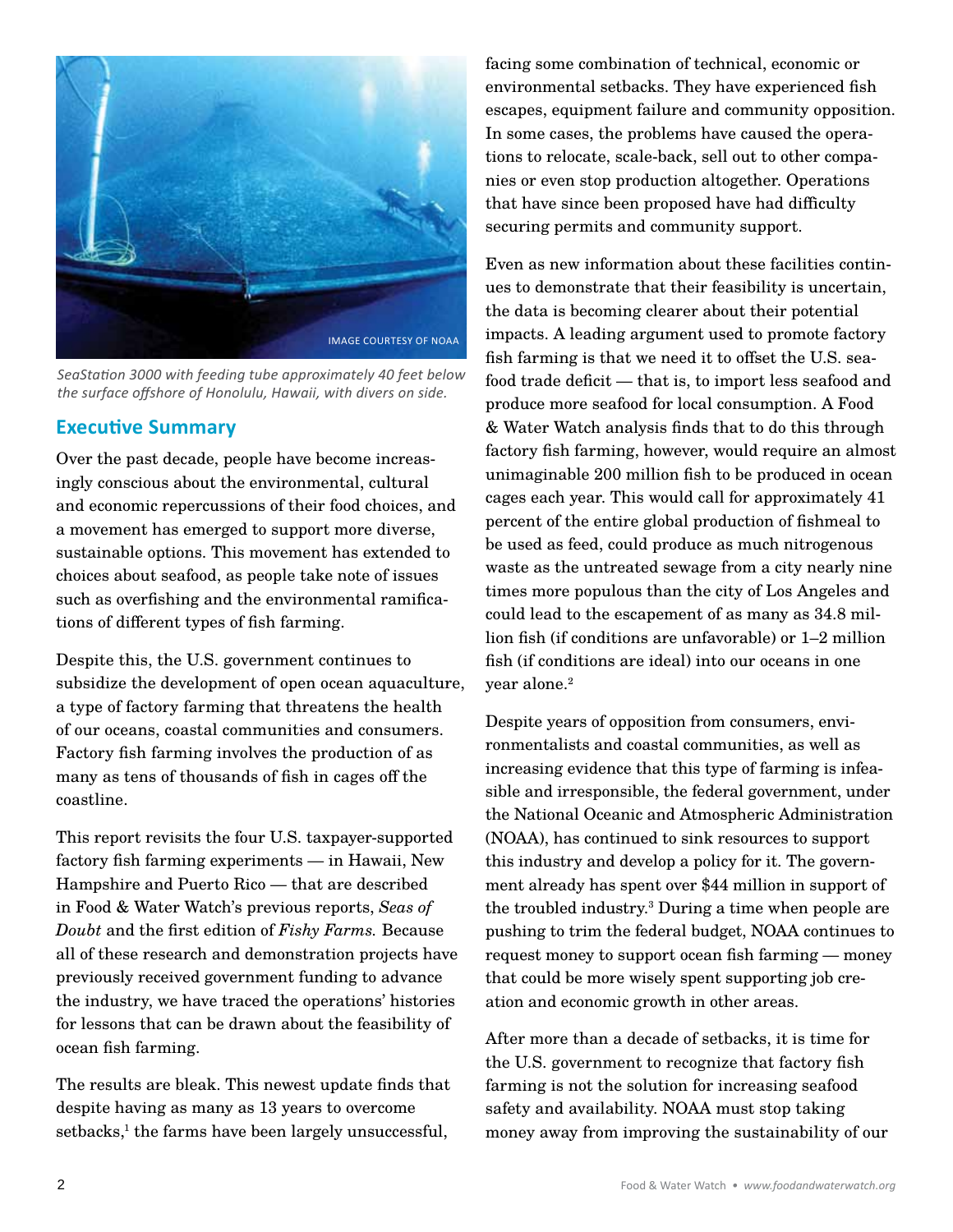

*SeaStation 3000 with feeding tube approximately 40 feet below the surface offshore of Honolulu, Hawaii, with divers on side.* 

## **Executive Summary**

Over the past decade, people have become increasingly conscious about the environmental, cultural and economic repercussions of their food choices, and a movement has emerged to support more diverse, sustainable options. This movement has extended to choices about seafood, as people take note of issues such as overfishing and the environmental ramifications of different types of fish farming.

Despite this, the U.S. government continues to subsidize the development of open ocean aquaculture, a type of factory farming that threatens the health of our oceans, coastal communities and consumers. Factory fish farming involves the production of as many as tens of thousands of fish in cages off the coastline.

This report revisits the four U.S. taxpayer-supported factory fish farming experiments — in Hawaii, New Hampshire and Puerto Rico — that are described in Food & Water Watch's previous reports, *Seas of Doubt* and the first edition of *Fishy Farms.* Because all of these research and demonstration projects have previously received government funding to advance the industry, we have traced the operations' histories for lessons that can be drawn about the feasibility of ocean fish farming.

The results are bleak. This newest update finds that despite having as many as 13 years to overcome setbacks,<sup>1</sup> the farms have been largely unsuccessful,

facing some combination of technical, economic or environmental setbacks. They have experienced fish escapes, equipment failure and community opposition. In some cases, the problems have caused the operations to relocate, scale-back, sell out to other companies or even stop production altogether. Operations that have since been proposed have had difficulty securing permits and community support.

Even as new information about these facilities continues to demonstrate that their feasibility is uncertain, the data is becoming clearer about their potential impacts. A leading argument used to promote factory fish farming is that we need it to offset the U.S. seafood trade deficit — that is, to import less seafood and produce more seafood for local consumption. A Food & Water Watch analysis finds that to do this through factory fish farming, however, would require an almost unimaginable 200 million fish to be produced in ocean cages each year. This would call for approximately 41 percent of the entire global production of fishmeal to be used as feed, could produce as much nitrogenous waste as the untreated sewage from a city nearly nine times more populous than the city of Los Angeles and could lead to the escapement of as many as 34.8 million fish (if conditions are unfavorable) or 1–2 million fish (if conditions are ideal) into our oceans in one year alone. 2

Despite years of opposition from consumers, environmentalists and coastal communities, as well as increasing evidence that this type of farming is infeasible and irresponsible, the federal government, under the National Oceanic and Atmospheric Administration (NOAA), has continued to sink resources to support this industry and develop a policy for it. The government already has spent over \$44 million in support of the troubled industry. 3 During a time when people are pushing to trim the federal budget, NOAA continues to request money to support ocean fish farming — money that could be more wisely spent supporting job creation and economic growth in other areas.

After more than a decade of setbacks, it is time for the U.S. government to recognize that factory fish farming is not the solution for increasing seafood safety and availability. NOAA must stop taking money away from improving the sustainability of our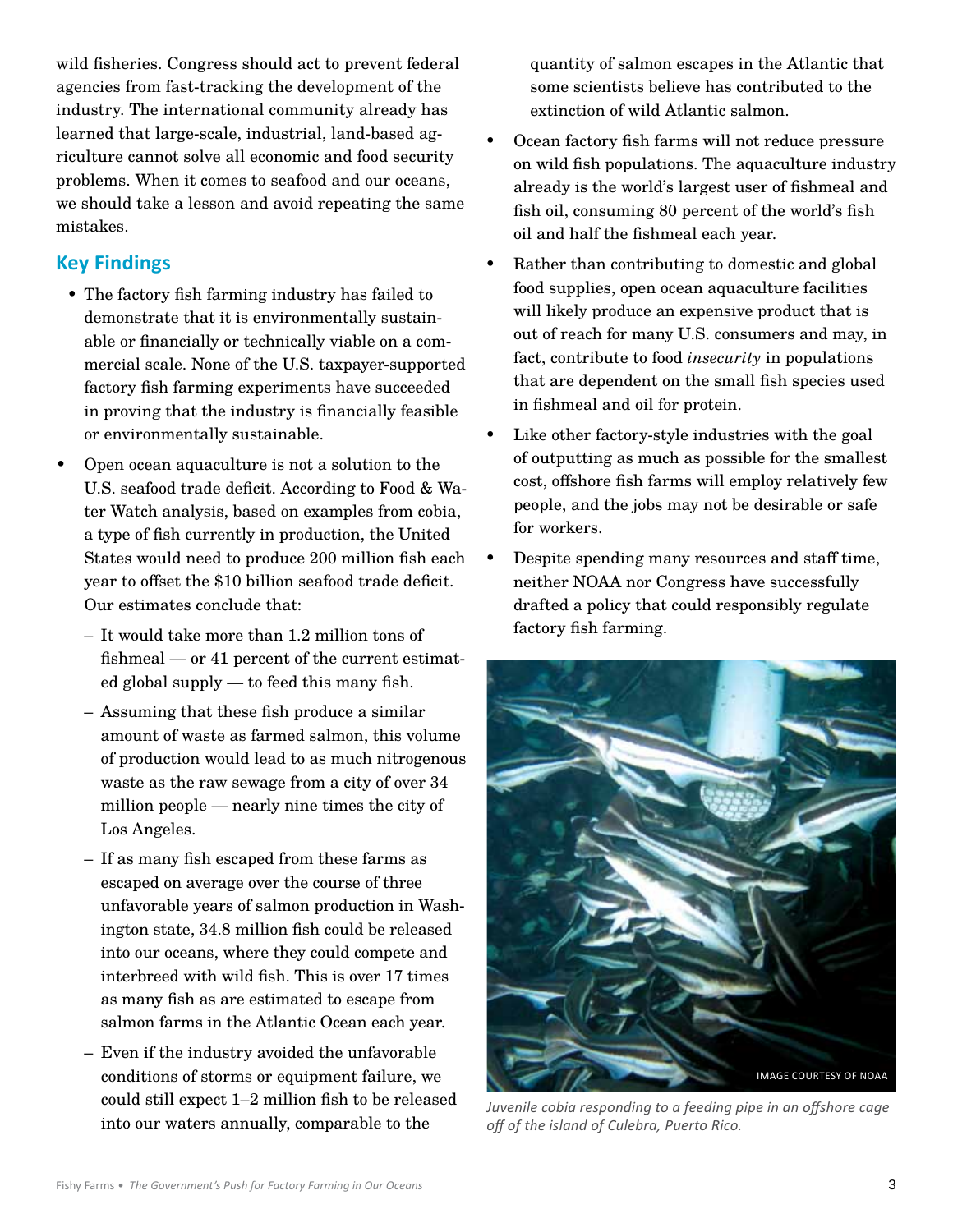wild fisheries. Congress should act to prevent federal agencies from fast-tracking the development of the industry. The international community already has learned that large-scale, industrial, land-based agriculture cannot solve all economic and food security problems. When it comes to seafood and our oceans, we should take a lesson and avoid repeating the same mistakes.

# **Key Findings**

- The factory fish farming industry has failed to demonstrate that it is environmentally sustainable or financially or technically viable on a commercial scale. None of the U.S. taxpayer-supported factory fish farming experiments have succeeded in proving that the industry is financially feasible or environmentally sustainable.
- Open ocean aquaculture is not a solution to the U.S. seafood trade deficit. According to Food & Water Watch analysis, based on examples from cobia, a type of fish currently in production, the United States would need to produce 200 million fish each year to offset the \$10 billion seafood trade deficit. Our estimates conclude that:
	- It would take more than 1.2 million tons of fishmeal — or 41 percent of the current estimated global supply — to feed this many fish.
	- Assuming that these fish produce a similar amount of waste as farmed salmon, this volume of production would lead to as much nitrogenous waste as the raw sewage from a city of over 34 million people — nearly nine times the city of Los Angeles.
	- If as many fish escaped from these farms as escaped on average over the course of three unfavorable years of salmon production in Washington state, 34.8 million fish could be released into our oceans, where they could compete and interbreed with wild fish. This is over 17 times as many fish as are estimated to escape from salmon farms in the Atlantic Ocean each year.
	- Even if the industry avoided the unfavorable conditions of storms or equipment failure, we could still expect 1–2 million fish to be released into our waters annually, comparable to the

quantity of salmon escapes in the Atlantic that some scientists believe has contributed to the extinction of wild Atlantic salmon.

- Ocean factory fish farms will not reduce pressure on wild fish populations. The aquaculture industry already is the world's largest user of fishmeal and fish oil, consuming 80 percent of the world's fish oil and half the fishmeal each year.
- Rather than contributing to domestic and global food supplies, open ocean aquaculture facilities will likely produce an expensive product that is out of reach for many U.S. consumers and may, in fact, contribute to food *insecurity* in populations that are dependent on the small fish species used in fishmeal and oil for protein.
- Like other factory-style industries with the goal of outputting as much as possible for the smallest cost, offshore fish farms will employ relatively few people, and the jobs may not be desirable or safe for workers.
- Despite spending many resources and staff time, neither NOAA nor Congress have successfully drafted a policy that could responsibly regulate factory fish farming.



*Juvenile cobia responding to a feeding pipe in an offshore cage off of the island of Culebra, Puerto Rico.*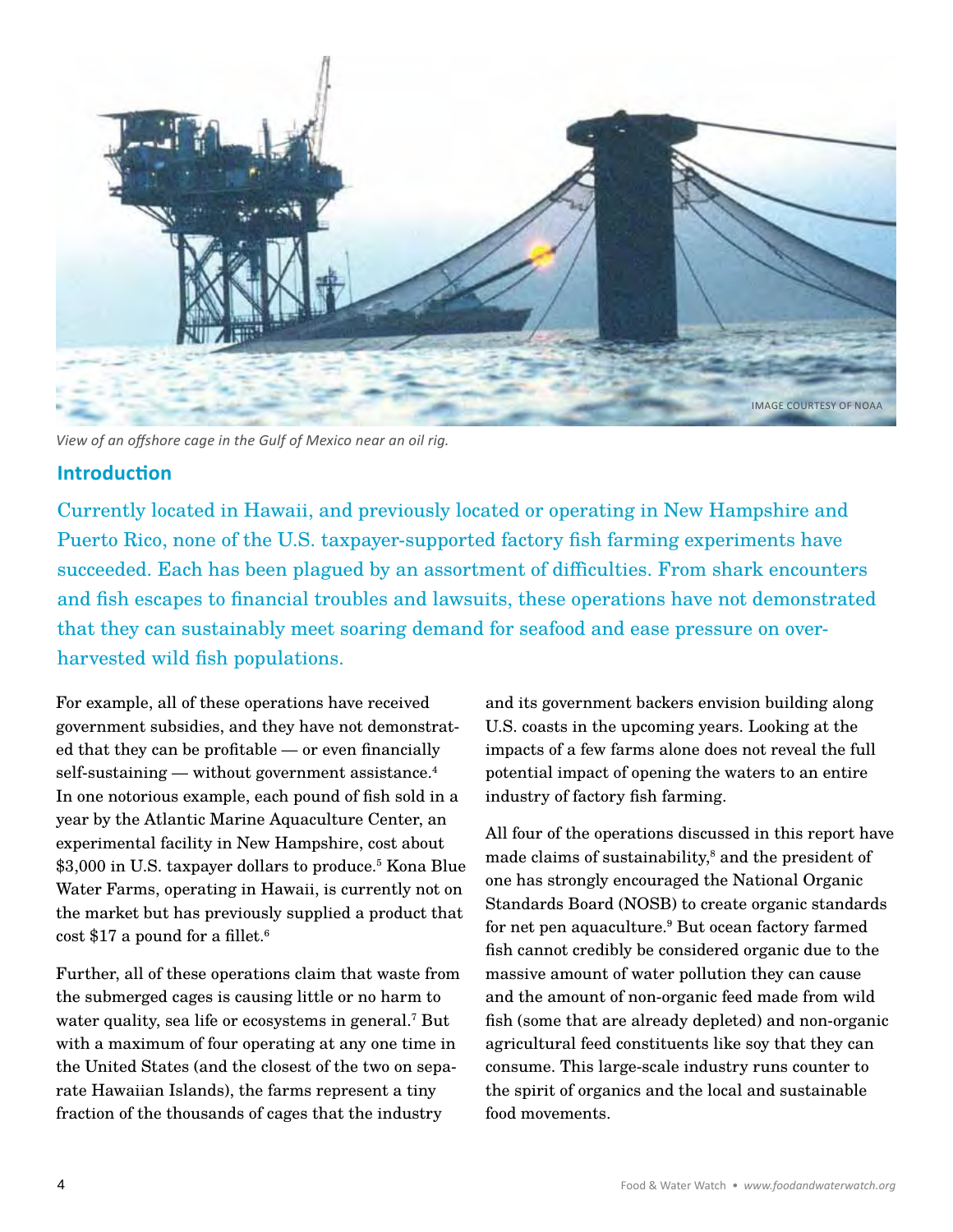

*View of an offshore cage in the Gulf of Mexico near an oil rig.*

## **Introduction**

Currently located in Hawaii, and previously located or operating in New Hampshire and Puerto Rico, none of the U.S. taxpayer-supported factory fish farming experiments have succeeded. Each has been plagued by an assortment of difficulties. From shark encounters and fish escapes to financial troubles and lawsuits, these operations have not demonstrated that they can sustainably meet soaring demand for seafood and ease pressure on overharvested wild fish populations.

For example, all of these operations have received government subsidies, and they have not demonstrated that they can be profitable — or even financially self-sustaining — without government assistance. 4 In one notorious example, each pound of fish sold in a year by the Atlantic Marine Aquaculture Center, an experimental facility in New Hampshire, cost about \$3,000 in U.S. taxpayer dollars to produce. 5 Kona Blue Water Farms, operating in Hawaii, is currently not on the market but has previously supplied a product that cost \$17 a pound for a fillet. 6

Further, all of these operations claim that waste from the submerged cages is causing little or no harm to water quality, sea life or ecosystems in general.<sup>7</sup> But with a maximum of four operating at any one time in the United States (and the closest of the two on separate Hawaiian Islands), the farms represent a tiny fraction of the thousands of cages that the industry

and its government backers envision building along U.S. coasts in the upcoming years. Looking at the impacts of a few farms alone does not reveal the full potential impact of opening the waters to an entire industry of factory fish farming.

All four of the operations discussed in this report have made claims of sustainability,<sup>8</sup> and the president of one has strongly encouraged the National Organic Standards Board (NOSB) to create organic standards for net pen aquaculture. 9 But ocean factory farmed fish cannot credibly be considered organic due to the massive amount of water pollution they can cause and the amount of non-organic feed made from wild fish (some that are already depleted) and non-organic agricultural feed constituents like soy that they can consume. This large-scale industry runs counter to the spirit of organics and the local and sustainable food movements.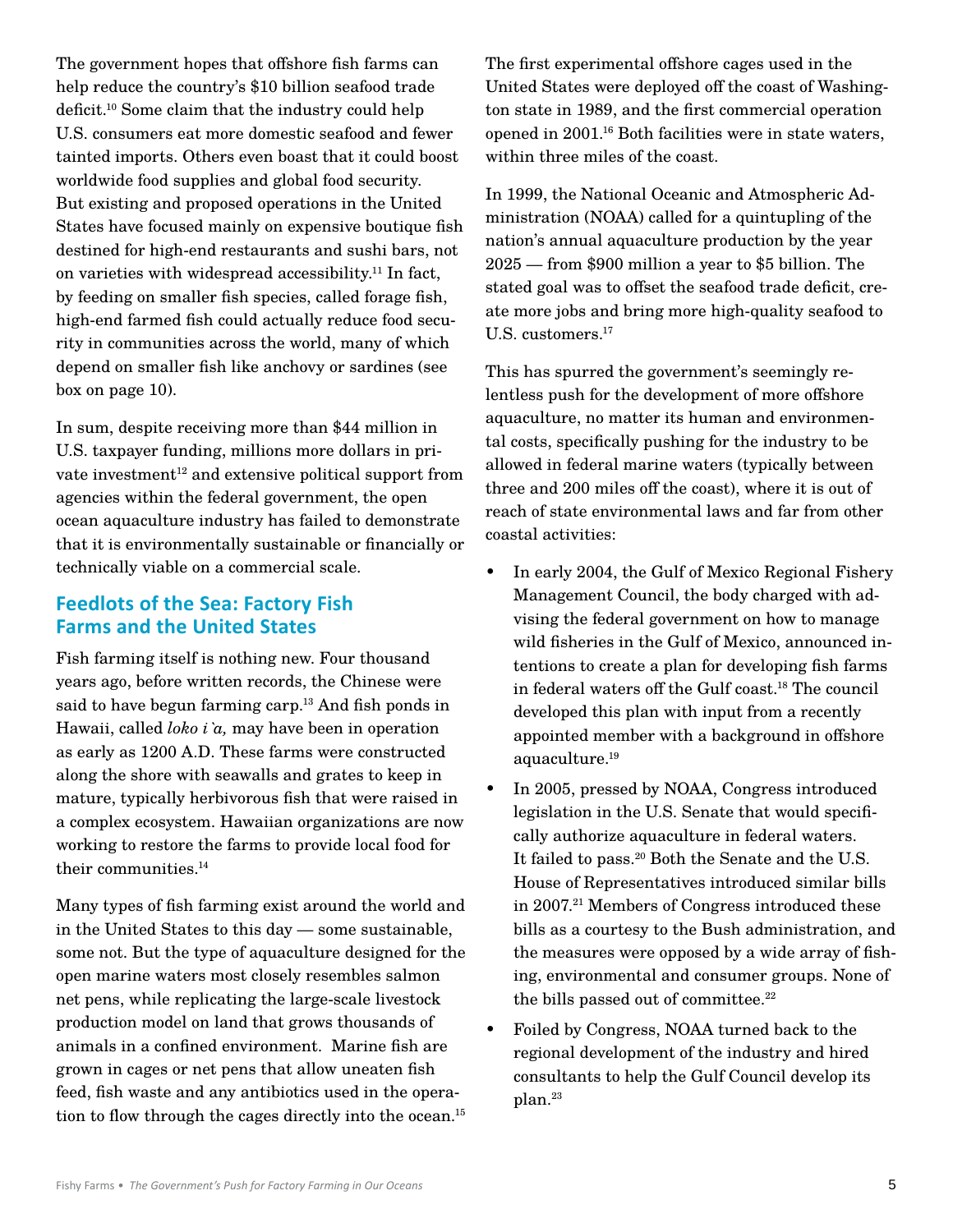The government hopes that offshore fish farms can help reduce the country's \$10 billion seafood trade deficit. 10 Some claim that the industry could help U.S. consumers eat more domestic seafood and fewer tainted imports. Others even boast that it could boost worldwide food supplies and global food security. But existing and proposed operations in the United States have focused mainly on expensive boutique fish destined for high-end restaurants and sushi bars, not on varieties with widespread accessibility. 11 In fact, by feeding on smaller fish species, called forage fish, high-end farmed fish could actually reduce food security in communities across the world, many of which depend on smaller fish like anchovy or sardines (see box on page 10).

In sum, despite receiving more than \$44 million in U.S. taxpayer funding, millions more dollars in private investment<sup>12</sup> and extensive political support from agencies within the federal government, the open ocean aquaculture industry has failed to demonstrate that it is environmentally sustainable or financially or technically viable on a commercial scale.

## **Feedlots of the Sea: Factory Fish Farms and the United States**

Fish farming itself is nothing new. Four thousand years ago, before written records, the Chinese were said to have begun farming carp. 13 And fish ponds in Hawaii, called *loko i`a,* may have been in operation as early as 1200 A.D. These farms were constructed along the shore with seawalls and grates to keep in mature, typically herbivorous fish that were raised in a complex ecosystem. Hawaiian organizations are now working to restore the farms to provide local food for their communities. 14

Many types of fish farming exist around the world and in the United States to this day — some sustainable, some not. But the type of aquaculture designed for the open marine waters most closely resembles salmon net pens, while replicating the large-scale livestock production model on land that grows thousands of animals in a confined environment. Marine fish are grown in cages or net pens that allow uneaten fish feed, fish waste and any antibiotics used in the operation to flow through the cages directly into the ocean. 15 The first experimental offshore cages used in the United States were deployed off the coast of Washington state in 1989, and the first commercial operation opened in 2001. 16 Both facilities were in state waters, within three miles of the coast.

In 1999, the National Oceanic and Atmospheric Administration (NOAA) called for a quintupling of the nation's annual aquaculture production by the year 2025 — from \$900 million a year to \$5 billion. The stated goal was to offset the seafood trade deficit, create more jobs and bring more high-quality seafood to U.S. customers. 17

This has spurred the government's seemingly relentless push for the development of more offshore aquaculture, no matter its human and environmental costs, specifically pushing for the industry to be allowed in federal marine waters (typically between three and 200 miles off the coast), where it is out of reach of state environmental laws and far from other coastal activities:

- In early 2004, the Gulf of Mexico Regional Fishery Management Council, the body charged with advising the federal government on how to manage wild fisheries in the Gulf of Mexico, announced intentions to create a plan for developing fish farms in federal waters off the Gulf coast. 18 The council developed this plan with input from a recently appointed member with a background in offshore aquaculture. 19
- In 2005, pressed by NOAA, Congress introduced legislation in the U.S. Senate that would specifically authorize aquaculture in federal waters. It failed to pass. 20 Both the Senate and the U.S. House of Representatives introduced similar bills in 2007. 21 Members of Congress introduced these bills as a courtesy to the Bush administration, and the measures were opposed by a wide array of fishing, environmental and consumer groups. None of the bills passed out of committee. 22
- • Foiled by Congress, NOAA turned back to the regional development of the industry and hired consultants to help the Gulf Council develop its plan. 23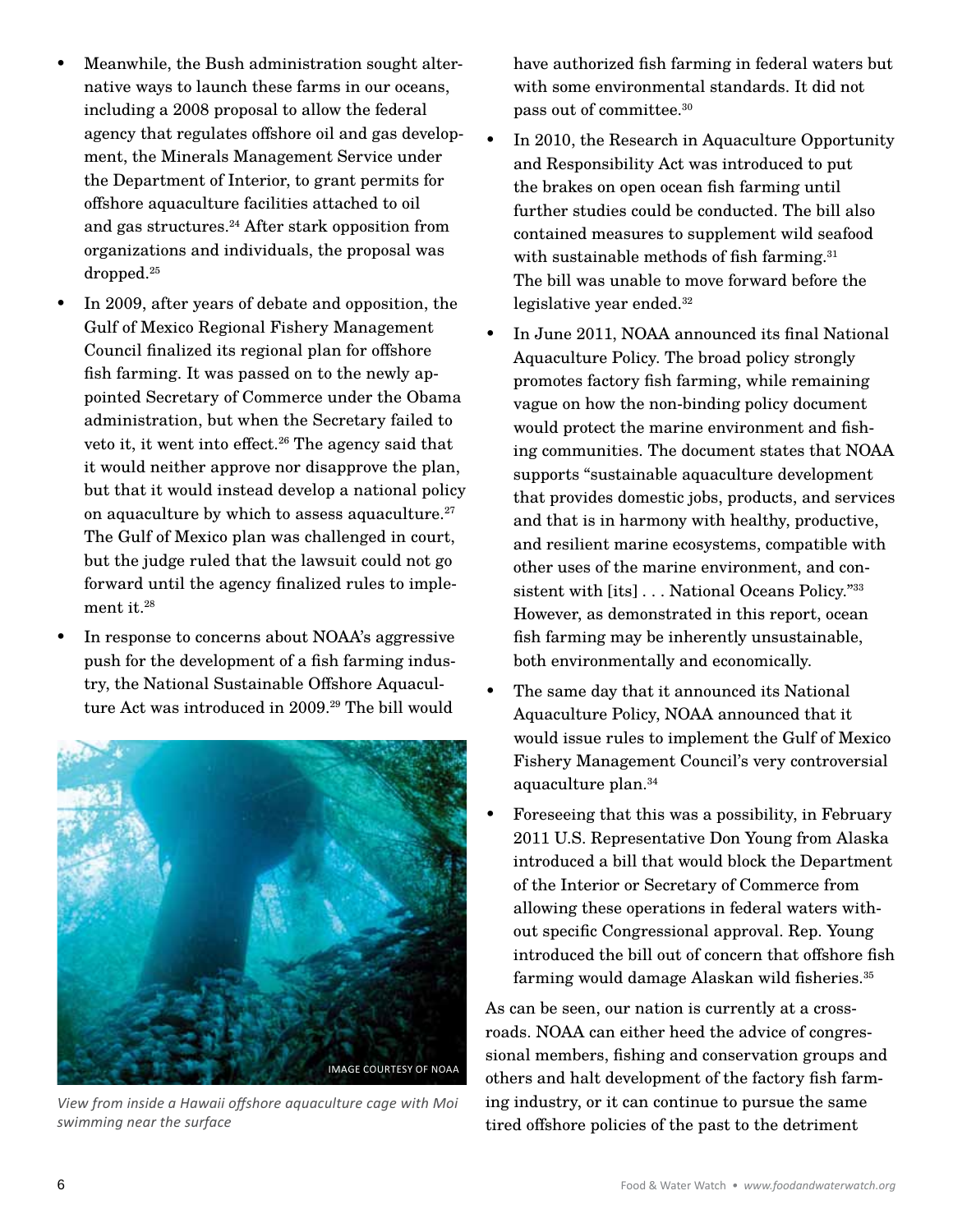- Meanwhile, the Bush administration sought alternative ways to launch these farms in our oceans, including a 2008 proposal to allow the federal agency that regulates offshore oil and gas development, the Minerals Management Service under the Department of Interior, to grant permits for offshore aquaculture facilities attached to oil and gas structures. 24 After stark opposition from organizations and individuals, the proposal was  $\rm dropped.^{25}$
- In 2009, after years of debate and opposition, the Gulf of Mexico Regional Fishery Management Council finalized its regional plan for offshore fish farming. It was passed on to the newly appointed Secretary of Commerce under the Obama administration, but when the Secretary failed to veto it, it went into effect. 26 The agency said that it would neither approve nor disapprove the plan, but that it would instead develop a national policy on aquaculture by which to assess aquaculture. 27 The Gulf of Mexico plan was challenged in court, but the judge ruled that the lawsuit could not go forward until the agency finalized rules to implement it. 28
- In response to concerns about NOAA's aggressive push for the development of a fish farming industry, the National Sustainable Offshore Aquaculture Act was introduced in 2009. 29 The bill would



*View from inside a Hawaii offshore aquaculture cage with Moi swimming near the surface*

have authorized fish farming in federal waters but with some environmental standards. It did not pass out of committee. 30

- In 2010, the Research in Aquaculture Opportunity and Responsibility Act was introduced to put the brakes on open ocean fish farming until further studies could be conducted. The bill also contained measures to supplement wild seafood with sustainable methods of fish farming. 31 The bill was unable to move forward before the legislative year ended. 32
- In June 2011, NOAA announced its final National Aquaculture Policy. The broad policy strongly promotes factory fish farming, while remaining vague on how the non-binding policy document would protect the marine environment and fishing communities. The document states that NOAA supports "sustainable aquaculture development that provides domestic jobs, products, and services and that is in harmony with healthy, productive, and resilient marine ecosystems, compatible with other uses of the marine environment, and consistent with [its]... National Oceans Policy."33 However, as demonstrated in this report, ocean fish farming may be inherently unsustainable, both environmentally and economically.
- The same day that it announced its National Aquaculture Policy, NOAA announced that it would issue rules to implement the Gulf of Mexico Fishery Management Council's very controversial aquaculture plan. 34
- Foreseeing that this was a possibility, in February 2011 U.S. Representative Don Young from Alaska introduced a bill that would block the Department of the Interior or Secretary of Commerce from allowing these operations in federal waters without specific Congressional approval. Rep. Young introduced the bill out of concern that offshore fish farming would damage Alaskan wild fisheries. 35

As can be seen, our nation is currently at a crossroads. NOAA can either heed the advice of congressional members, fishing and conservation groups and others and halt development of the factory fish farming industry, or it can continue to pursue the same tired offshore policies of the past to the detriment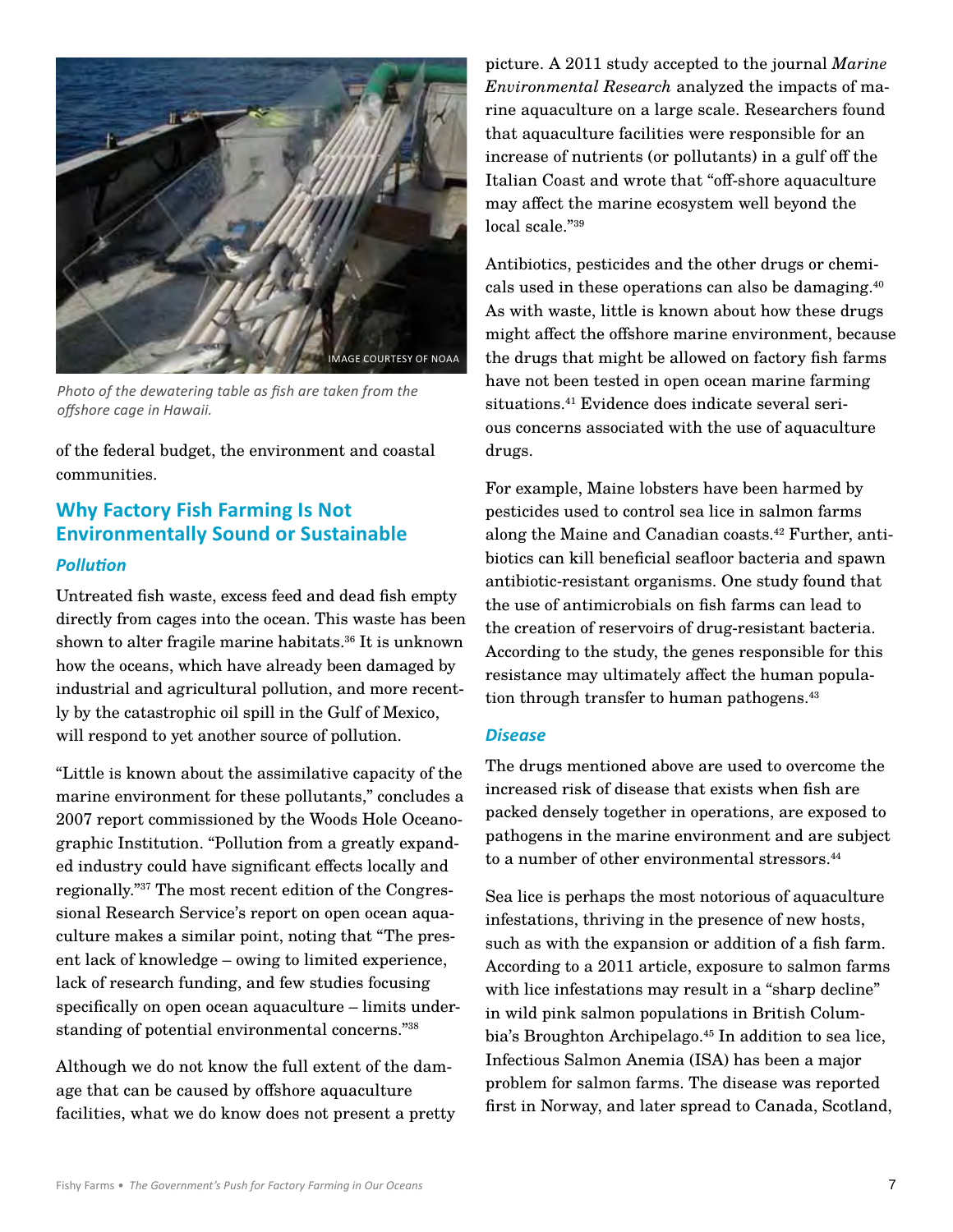

*Photo of the dewatering table as fish are taken from the offshore cage in Hawaii.* 

of the federal budget, the environment and coastal communities.

# **Why Factory Fish Farming Is Not Environmentally Sound or Sustainable**

#### *Pollution*

Untreated fish waste, excess feed and dead fish empty directly from cages into the ocean. This waste has been shown to alter fragile marine habitats. 36 It is unknown how the oceans, which have already been damaged by industrial and agricultural pollution, and more recently by the catastrophic oil spill in the Gulf of Mexico, will respond to yet another source of pollution.

"Little is known about the assimilative capacity of the marine environment for these pollutants," concludes a 2007 report commissioned by the Woods Hole Oceanographic Institution. "Pollution from a greatly expanded industry could have significant effects locally and regionally."37 The most recent edition of the Congressional Research Service's report on open ocean aquaculture makes a similar point, noting that "The present lack of knowledge – owing to limited experience, lack of research funding, and few studies focusing specifically on open ocean aquaculture – limits understanding of potential environmental concerns."38

Although we do not know the full extent of the damage that can be caused by offshore aquaculture facilities, what we do know does not present a pretty

picture. A 2011 study accepted to the journal *Marine Environmental Research* analyzed the impacts of marine aquaculture on a large scale. Researchers found that aquaculture facilities were responsible for an increase of nutrients (or pollutants) in a gulf off the Italian Coast and wrote that "off-shore aquaculture may affect the marine ecosystem well beyond the local scale."39

Antibiotics, pesticides and the other drugs or chemicals used in these operations can also be damaging. 40 As with waste, little is known about how these drugs might affect the offshore marine environment, because the drugs that might be allowed on factory fish farms have not been tested in open ocean marine farming situations. 41 Evidence does indicate several serious concerns associated with the use of aquaculture drugs.

For example, Maine lobsters have been harmed by pesticides used to control sea lice in salmon farms along the Maine and Canadian coasts. 42 Further, antibiotics can kill beneficial seafloor bacteria and spawn antibiotic-resistant organisms. One study found that the use of antimicrobials on fish farms can lead to the creation of reservoirs of drug-resistant bacteria. According to the study, the genes responsible for this resistance may ultimately affect the human population through transfer to human pathogens. 43

#### *Disease*

The drugs mentioned above are used to overcome the increased risk of disease that exists when fish are packed densely together in operations, are exposed to pathogens in the marine environment and are subject to a number of other environmental stressors. 44

Sea lice is perhaps the most notorious of aquaculture infestations, thriving in the presence of new hosts, such as with the expansion or addition of a fish farm. According to a 2011 article, exposure to salmon farms with lice infestations may result in a "sharp decline" in wild pink salmon populations in British Columbia's Broughton Archipelago. 45 In addition to sea lice, Infectious Salmon Anemia (ISA) has been a major problem for salmon farms. The disease was reported first in Norway, and later spread to Canada, Scotland,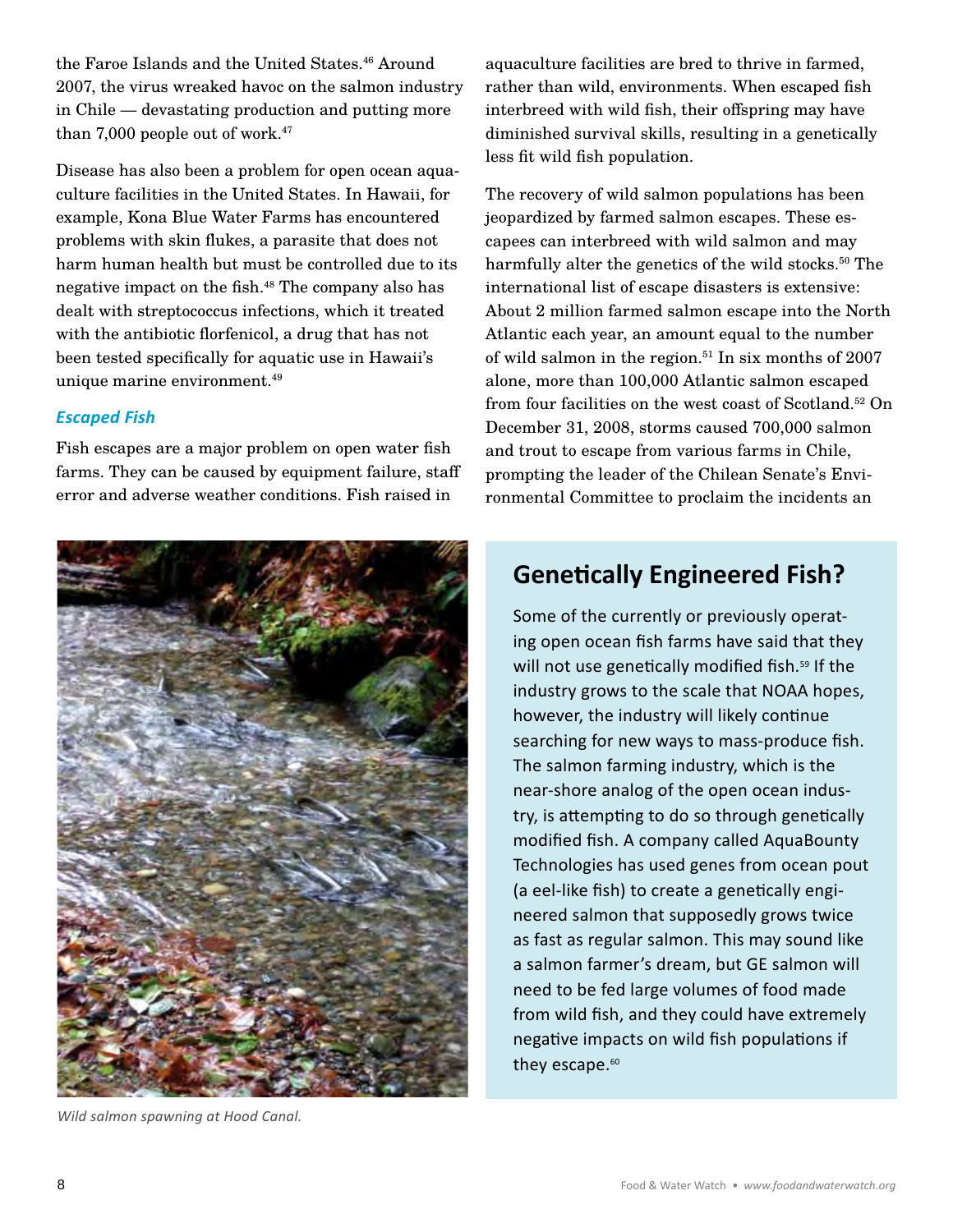the Faroe Islands and the United States. 46 Around 2007, the virus wreaked havoc on the salmon industry in Chile — devastating production and putting more than 7,000 people out of work. 47

Disease has also been a problem for open ocean aquaculture facilities in the United States. In Hawaii, for example, Kona Blue Water Farms has encountered problems with skin flukes, a parasite that does not harm human health but must be controlled due to its negative impact on the fish. 48 The company also has dealt with streptococcus infections, which it treated with the antibiotic florfenicol, a drug that has not been tested specifically for aquatic use in Hawaii's unique marine environment. 49

### *Escaped Fish*

Fish escapes are a major problem on open water fish farms. They can be caused by equipment failure, staff error and adverse weather conditions. Fish raised in



*Wild salmon spawning at Hood Canal.*

aquaculture facilities are bred to thrive in farmed, rather than wild, environments. When escaped fish interbreed with wild fish, their offspring may have diminished survival skills, resulting in a genetically less fit wild fish population.

The recovery of wild salmon populations has been jeopardized by farmed salmon escapes. These escapees can interbreed with wild salmon and may harmfully alter the genetics of the wild stocks. 50 The international list of escape disasters is extensive: About 2 million farmed salmon escape into the North Atlantic each year, an amount equal to the number of wild salmon in the region. 51 In six months of 2007 alone, more than 100,000 Atlantic salmon escaped from four facilities on the west coast of Scotland. 52 On December 31, 2008, storms caused 700,000 salmon and trout to escape from various farms in Chile, prompting the leader of the Chilean Senate's Environmental Committee to proclaim the incidents an

# **Genetically Engineered Fish?**

Some of the currently or previously operating open ocean fish farms have said that they will not use genetically modified fish.<sup>59</sup> If the industry grows to the scale that NOAA hopes, however, the industry will likely continue searching for new ways to mass-produce fish. The salmon farming industry, which is the near-shore analog of the open ocean industry, is attempting to do so through genetically modified fish. A company called AquaBounty Technologies has used genes from ocean pout (a eel-like fish) to create a genetically engineered salmon that supposedly grows twice as fast as regular salmon. This may sound like a salmon farmer's dream, but GE salmon will need to be fed large volumes of food made from wild fish, and they could have extremely negative impacts on wild fish populations if they escape.<sup>60</sup>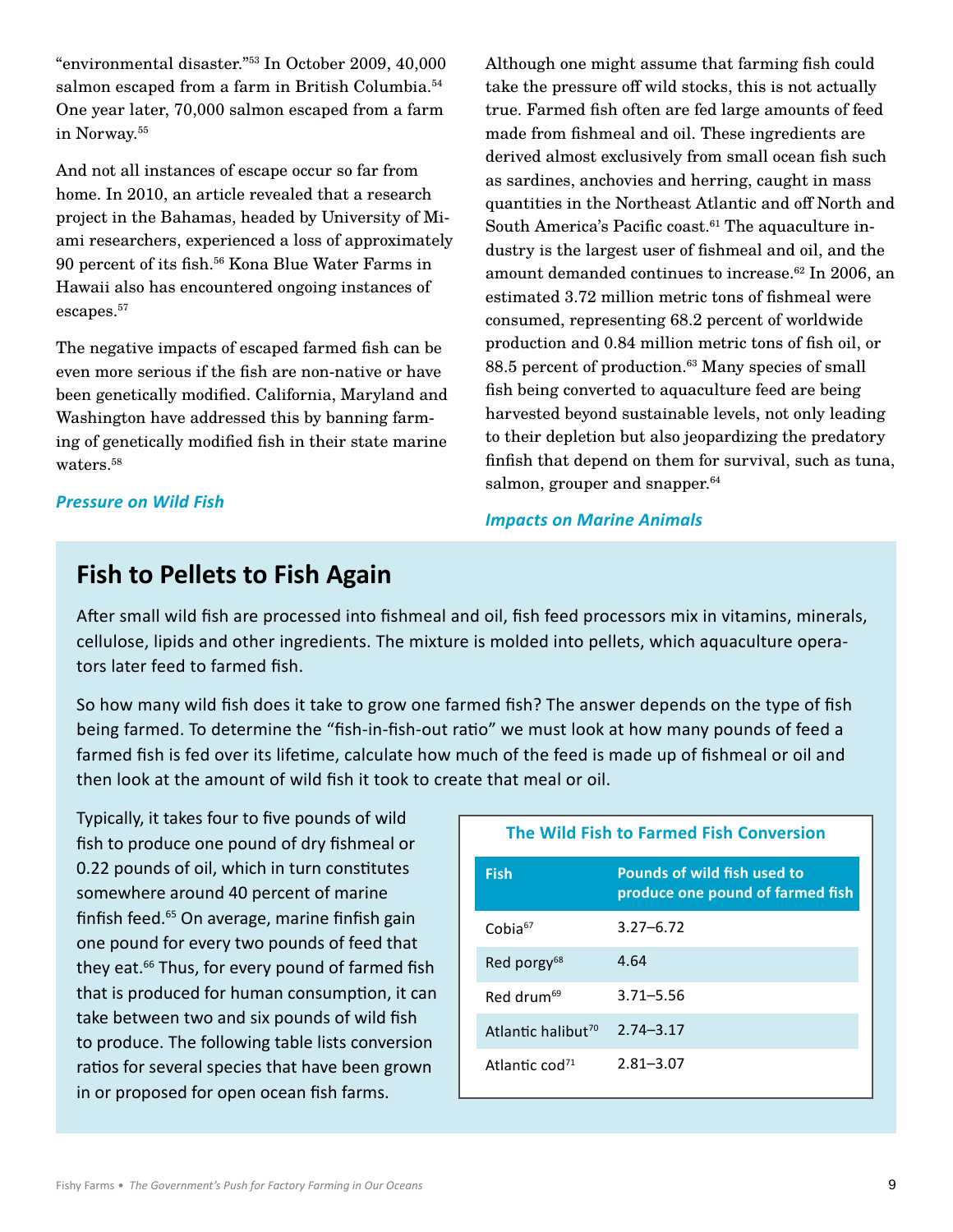"environmental disaster."53 In October 2009, 40,000 salmon escaped from a farm in British Columbia. 54 One year later, 70,000 salmon escaped from a farm in Norway. 55

And not all instances of escape occur so far from home. In 2010, an article revealed that a research project in the Bahamas, headed by University of Miami researchers, experienced a loss of approximately 90 percent of its fish. 56 Kona Blue Water Farms in Hawaii also has encountered ongoing instances of  $\rm{escapes.}^{57}$ 

The negative impacts of escaped farmed fish can be even more serious if the fish are non-native or have been genetically modified. California, Maryland and Washington have addressed this by banning farming of genetically modified fish in their state marine waters. 58

*Pressure on Wild Fish*

Although one might assume that farming fish could take the pressure off wild stocks, this is not actually true. Farmed fish often are fed large amounts of feed made from fishmeal and oil. These ingredients are derived almost exclusively from small ocean fish such as sardines, anchovies and herring, caught in mass quantities in the Northeast Atlantic and off North and South America's Pacific coast. 61 The aquaculture industry is the largest user of fishmeal and oil, and the amount demanded continues to increase. 62 In 2006, an estimated 3.72 million metric tons of fishmeal were consumed, representing 68.2 percent of worldwide production and 0.84 million metric tons of fish oil, or 88.5 percent of production. 63 Many species of small fish being converted to aquaculture feed are being harvested beyond sustainable levels, not only leading to their depletion but also jeopardizing the predatory finfish that depend on them for survival, such as tuna, salmon, grouper and snapper. 64

#### *Impacts on Marine Animals*

# **Fish to Pellets to Fish Again**

After small wild fish are processed into fishmeal and oil, fish feed processors mix in vitamins, minerals, cellulose, lipids and other ingredients. The mixture is molded into pellets, which aquaculture operators later feed to farmed fish.

So how many wild fish does it take to grow one farmed fish? The answer depends on the type of fish being farmed. To determine the "fish-in-fish-out ratio" we must look at how many pounds of feed a farmed fish is fed over its lifetime, calculate how much of the feed is made up of fishmeal or oil and then look at the amount of wild fish it took to create that meal or oil.

Typically, it takes four to five pounds of wild fish to produce one pound of dry fishmeal or 0.22 pounds of oil, which in turn constitutes somewhere around 40 percent of marine finfish feed.<sup>65</sup> On average, marine finfish gain one pound for every two pounds of feed that they eat.<sup>66</sup> Thus, for every pound of farmed fish that is produced for human consumption, it can take between two and six pounds of wild fish to produce. The following table lists conversion ratios for several species that have been grown in or proposed for open ocean fish farms.

| The Wild Fish to Farmed Fish Conversion |                                                                 |  |
|-----------------------------------------|-----------------------------------------------------------------|--|
| <b>Fish</b>                             | Pounds of wild fish used to<br>produce one pound of farmed fish |  |
| Cobia <sup>67</sup>                     | $3.27 - 6.72$                                                   |  |
| Red porgy <sup>68</sup>                 | 4.64                                                            |  |
| Red drum <sup>69</sup>                  | $3.71 - 5.56$                                                   |  |
| Atlantic halibut <sup>70</sup>          | $2.74 - 3.17$                                                   |  |
| Atlantic $\text{cod}^{\text{71}}$       | $2.81 - 3.07$                                                   |  |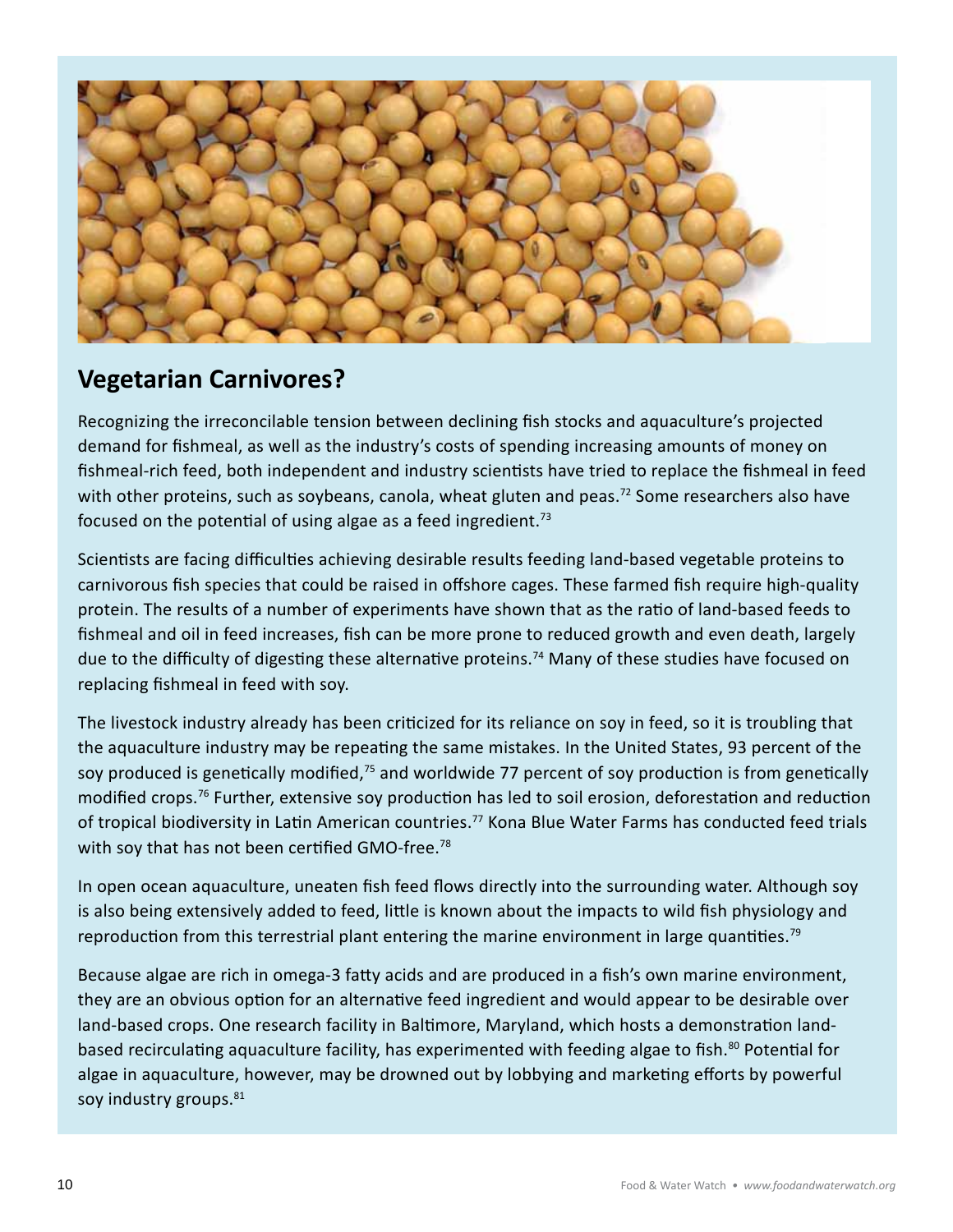

# **Vegetarian Carnivores?**

Recognizing the irreconcilable tension between declining fish stocks and aquaculture's projected demand for fishmeal, as well as the industry's costs of spending increasing amounts of money on fishmeal-rich feed, both independent and industry scientists have tried to replace the fishmeal in feed with other proteins, such as soybeans, canola, wheat gluten and peas.<sup>72</sup> Some researchers also have focused on the potential of using algae as a feed ingredient.<sup>73</sup>

Scientists are facing difficulties achieving desirable results feeding land-based vegetable proteins to carnivorous fish species that could be raised in offshore cages. These farmed fish require high-quality protein. The results of a number of experiments have shown that as the ratio of land-based feeds to fishmeal and oil in feed increases, fish can be more prone to reduced growth and even death, largely due to the difficulty of digesting these alternative proteins.<sup>74</sup> Many of these studies have focused on replacing fishmeal in feed with soy.

The livestock industry already has been criticized for its reliance on soy in feed, so it is troubling that the aquaculture industry may be repeating the same mistakes. In the United States, 93 percent of the soy produced is genetically modified,<sup>75</sup> and worldwide 77 percent of soy production is from genetically modified crops.<sup>76</sup> Further, extensive soy production has led to soil erosion, deforestation and reduction of tropical biodiversity in Latin American countries.<sup>77</sup> Kona Blue Water Farms has conducted feed trials with soy that has not been certified GMO-free.<sup>78</sup>

In open ocean aquaculture, uneaten fish feed flows directly into the surrounding water. Although soy is also being extensively added to feed, little is known about the impacts to wild fish physiology and reproduction from this terrestrial plant entering the marine environment in large quantities.<sup>79</sup>

Because algae are rich in omega-3 fatty acids and are produced in a fish's own marine environment, they are an obvious option for an alternative feed ingredient and would appear to be desirable over land-based crops. One research facility in Baltimore, Maryland, which hosts a demonstration landbased recirculating aquaculture facility, has experimented with feeding algae to fish.<sup>80</sup> Potential for algae in aquaculture, however, may be drowned out by lobbying and marketing efforts by powerful soy industry groups.<sup>81</sup>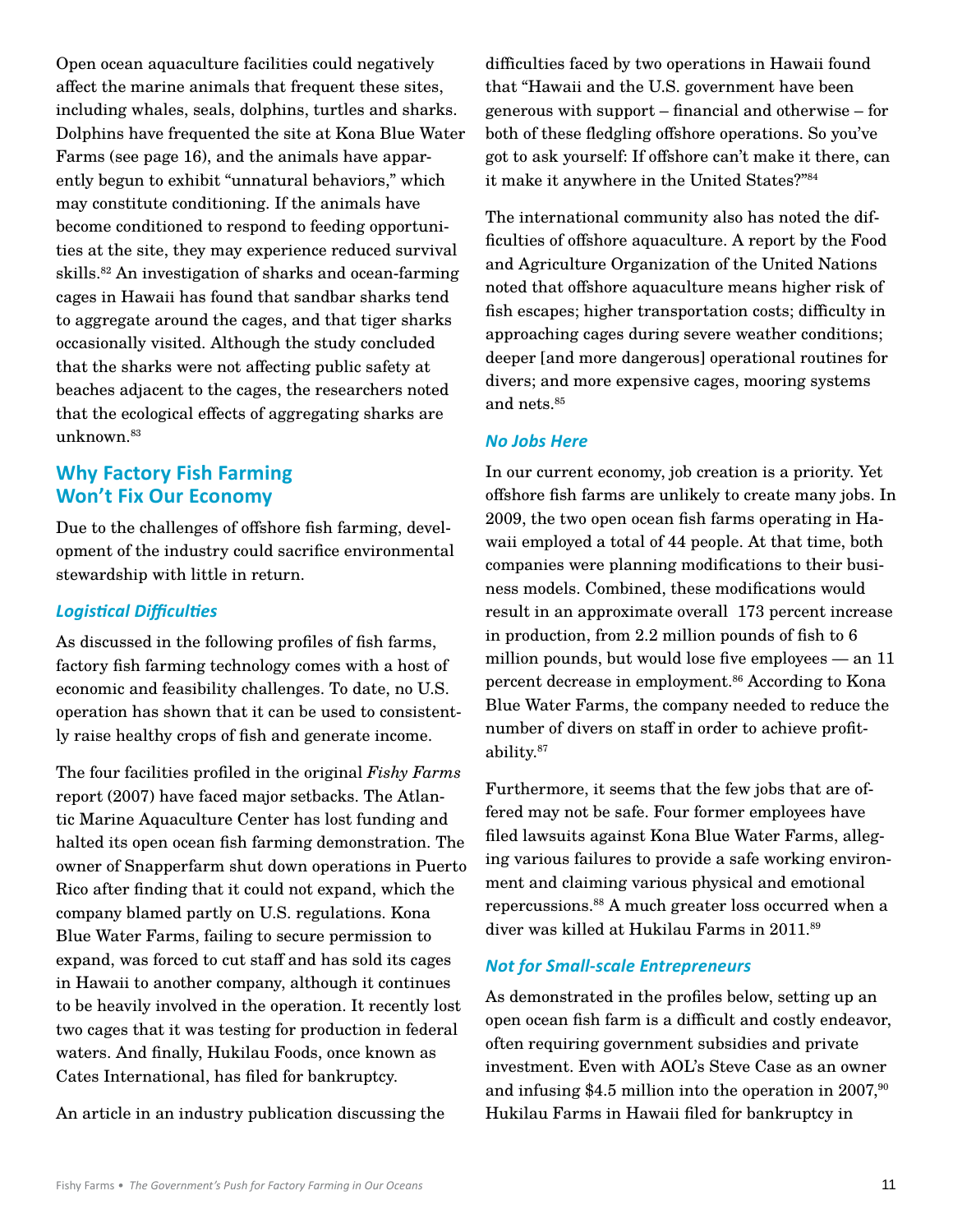Open ocean aquaculture facilities could negatively affect the marine animals that frequent these sites, including whales, seals, dolphins, turtles and sharks. Dolphins have frequented the site at Kona Blue Water Farms (see page 16), and the animals have apparently begun to exhibit "unnatural behaviors," which may constitute conditioning. If the animals have become conditioned to respond to feeding opportunities at the site, they may experience reduced survival skills. 82 An investigation of sharks and ocean-farming cages in Hawaii has found that sandbar sharks tend to aggregate around the cages, and that tiger sharks occasionally visited. Although the study concluded that the sharks were not affecting public safety at beaches adjacent to the cages, the researchers noted that the ecological effects of aggregating sharks are unknown. 83

## **Why Factory Fish Farming Won't Fix Our Economy**

Due to the challenges of offshore fish farming, development of the industry could sacrifice environmental stewardship with little in return.

#### *Logistical Difficulties*

As discussed in the following profiles of fish farms, factory fish farming technology comes with a host of economic and feasibility challenges. To date, no U.S. operation has shown that it can be used to consistently raise healthy crops of fish and generate income.

The four facilities profiled in the original *Fishy Farms*  report (2007) have faced major setbacks. The Atlantic Marine Aquaculture Center has lost funding and halted its open ocean fish farming demonstration. The owner of Snapperfarm shut down operations in Puerto Rico after finding that it could not expand, which the company blamed partly on U.S. regulations. Kona Blue Water Farms, failing to secure permission to expand, was forced to cut staff and has sold its cages in Hawaii to another company, although it continues to be heavily involved in the operation. It recently lost two cages that it was testing for production in federal waters. And finally, Hukilau Foods, once known as Cates International, has filed for bankruptcy.

An article in an industry publication discussing the

difficulties faced by two operations in Hawaii found that "Hawaii and the U.S. government have been generous with support – financial and otherwise – for both of these fledgling offshore operations. So you've got to ask yourself: If offshore can't make it there, can it make it anywhere in the United States?"84

The international community also has noted the difficulties of offshore aquaculture. A report by the Food and Agriculture Organization of the United Nations noted that offshore aquaculture means higher risk of fish escapes; higher transportation costs; difficulty in approaching cages during severe weather conditions; deeper [and more dangerous] operational routines for divers; and more expensive cages, mooring systems and nets. 85

#### *No Jobs Here*

In our current economy, job creation is a priority. Yet offshore fish farms are unlikely to create many jobs. In 2009, the two open ocean fish farms operating in Hawaii employed a total of 44 people. At that time, both companies were planning modifications to their business models. Combined, these modifications would result in an approximate overall 173 percent increase in production, from 2.2 million pounds of fish to 6 million pounds, but would lose five employees — an 11 percent decrease in employment. 86 According to Kona Blue Water Farms, the company needed to reduce the number of divers on staff in order to achieve profitability. 87

Furthermore, it seems that the few jobs that are offered may not be safe. Four former employees have filed lawsuits against Kona Blue Water Farms, alleging various failures to provide a safe working environment and claiming various physical and emotional repercussions. 88 A much greater loss occurred when a diver was killed at Hukilau Farms in 2011. 89

#### *Not for Small-scale Entrepreneurs*

As demonstrated in the profiles below, setting up an open ocean fish farm is a difficult and costly endeavor, often requiring government subsidies and private investment. Even with AOL's Steve Case as an owner and infusing \$4.5 million into the operation in 2007,<sup>90</sup> Hukilau Farms in Hawaii filed for bankruptcy in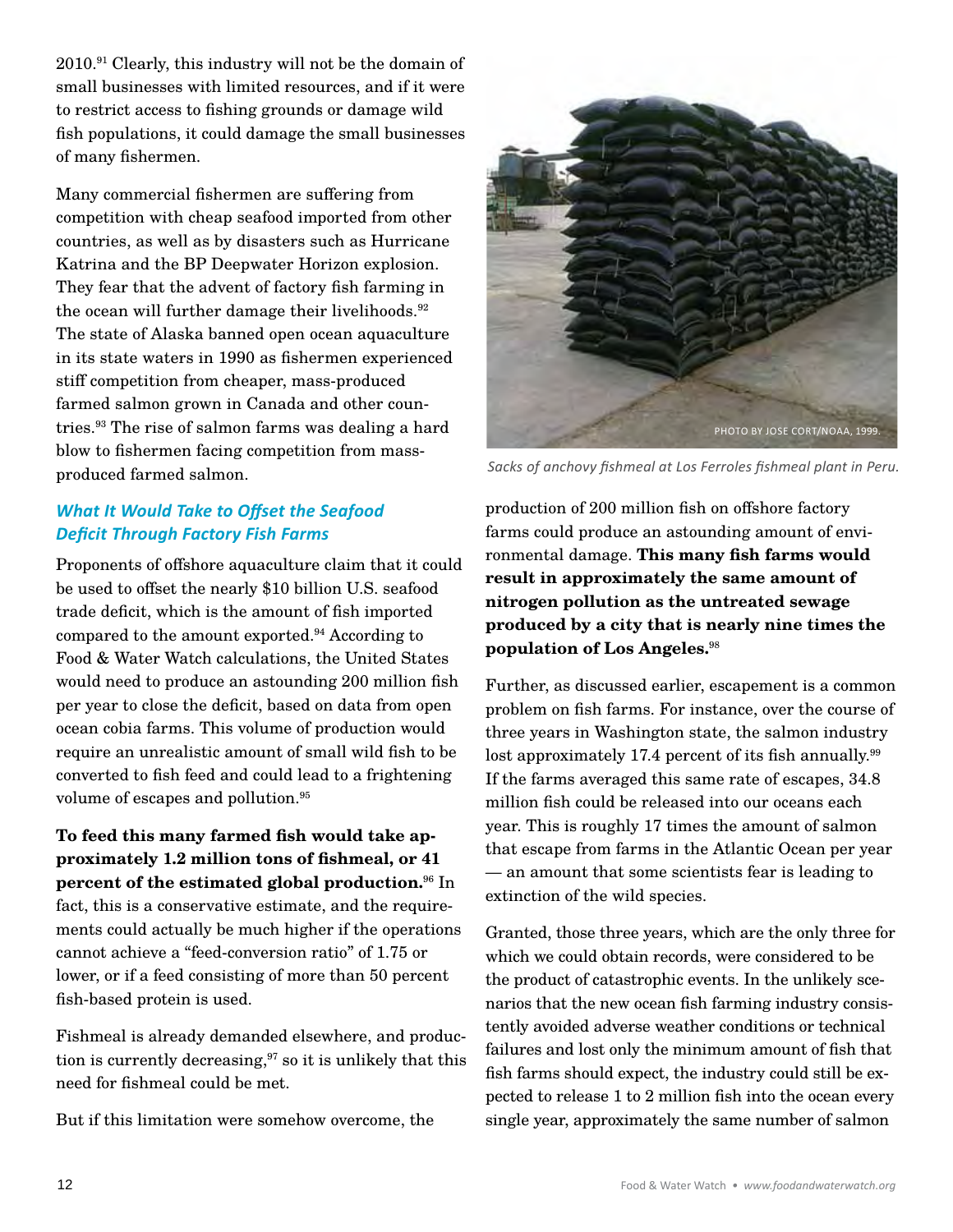2010. 91 Clearly, this industry will not be the domain of small businesses with limited resources, and if it were to restrict access to fishing grounds or damage wild fish populations, it could damage the small businesses of many fishermen.

Many commercial fishermen are suffering from competition with cheap seafood imported from other countries, as well as by disasters such as Hurricane Katrina and the BP Deepwater Horizon explosion. They fear that the advent of factory fish farming in the ocean will further damage their livelihoods. 92 The state of Alaska banned open ocean aquaculture in its state waters in 1990 as fishermen experienced stiff competition from cheaper, mass-produced farmed salmon grown in Canada and other countries. 93 The rise of salmon farms was dealing a hard blow to fishermen facing competition from massproduced farmed salmon.

# *What It Would Take to Offset the Seafood Deficit Through Factory Fish Farms*

Proponents of offshore aquaculture claim that it could be used to offset the nearly \$10 billion U.S. seafood trade deficit, which is the amount of fish imported compared to the amount exported. 94 According to Food & Water Watch calculations, the United States would need to produce an astounding 200 million fish per year to close the deficit, based on data from open ocean cobia farms. This volume of production would require an unrealistic amount of small wild fish to be converted to fish feed and could lead to a frightening volume of escapes and pollution. 95

**To feed this many farmed fish would take approximately 1.2 million tons of fishmeal, or 41 percent of the estimated global production.**96 In fact, this is a conservative estimate, and the requirements could actually be much higher if the operations cannot achieve a "feed-conversion ratio" of 1.75 or lower, or if a feed consisting of more than 50 percent fish-based protein is used.

Fishmeal is already demanded elsewhere, and production is currently decreasing, $97$  so it is unlikely that this need for fishmeal could be met.

But if this limitation were somehow overcome, the



*Sacks of anchovy fishmeal at Los Ferroles fishmeal plant in Peru.* 

production of 200 million fish on offshore factory farms could produce an astounding amount of environmental damage. **This many fish farms would result in approximately the same amount of nitrogen pollution as the untreated sewage produced by a city that is nearly nine times the population of Los Angeles.**<sup>98</sup>

Further, as discussed earlier, escapement is a common problem on fish farms. For instance, over the course of three years in Washington state, the salmon industry lost approximately 17.4 percent of its fish annually. 99 If the farms averaged this same rate of escapes, 34.8 million fish could be released into our oceans each year. This is roughly 17 times the amount of salmon that escape from farms in the Atlantic Ocean per year — an amount that some scientists fear is leading to extinction of the wild species.

Granted, those three years, which are the only three for which we could obtain records, were considered to be the product of catastrophic events. In the unlikely scenarios that the new ocean fish farming industry consistently avoided adverse weather conditions or technical failures and lost only the minimum amount of fish that fish farms should expect, the industry could still be expected to release 1 to 2 million fish into the ocean every single year, approximately the same number of salmon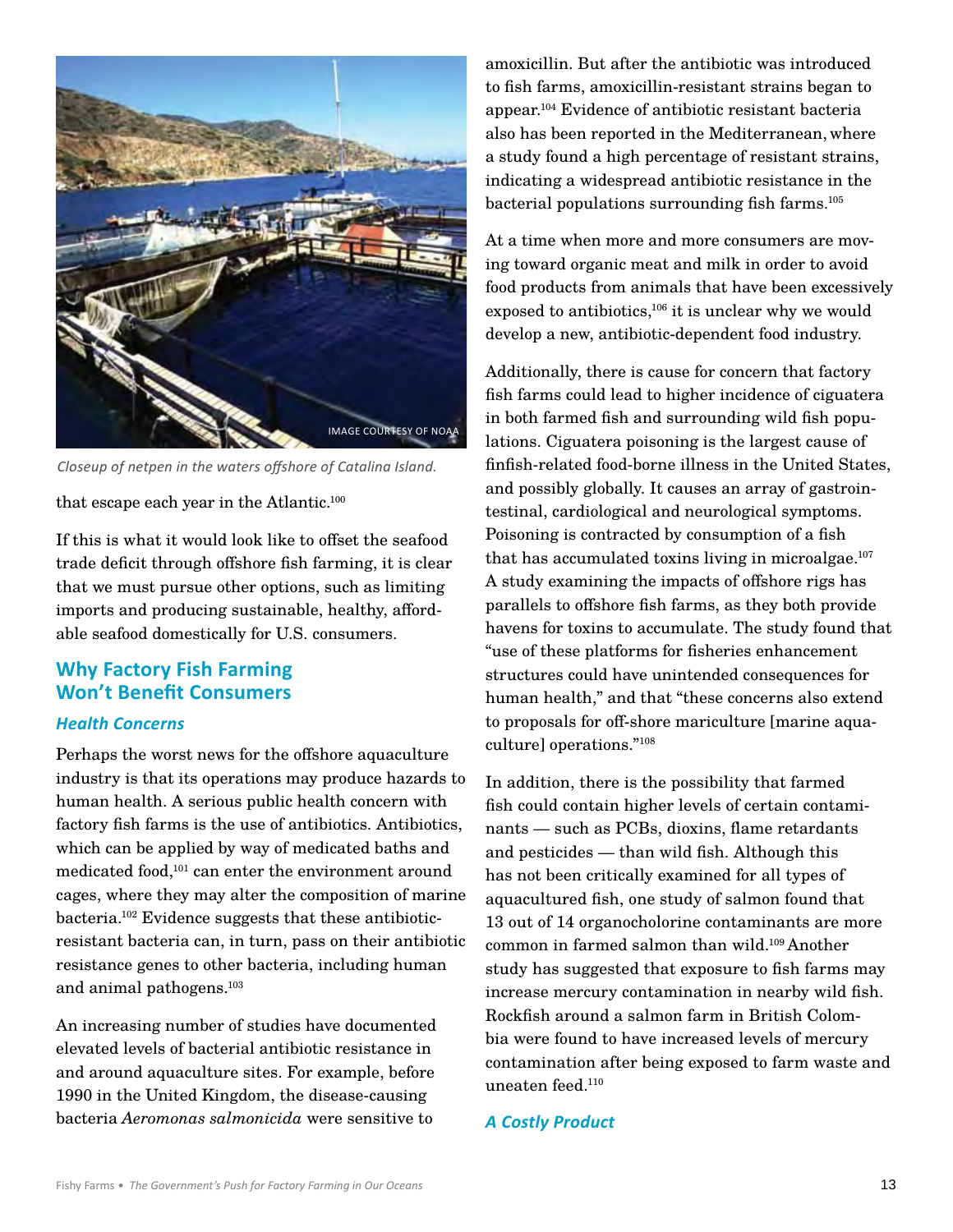

*Closeup of netpen in the waters offshore of Catalina Island.* 

that escape each year in the Atlantic.<sup>100</sup>

If this is what it would look like to offset the seafood trade deficit through offshore fish farming, it is clear that we must pursue other options, such as limiting imports and producing sustainable, healthy, affordable seafood domestically for U.S. consumers.

# **Why Factory Fish Farming Won't Benefit Consumers**

#### *Health Concerns*

Perhaps the worst news for the offshore aquaculture industry is that its operations may produce hazards to human health. A serious public health concern with factory fish farms is the use of antibiotics. Antibiotics, which can be applied by way of medicated baths and medicated food,<sup>101</sup> can enter the environment around cages, where they may alter the composition of marine bacteria. 102 Evidence suggests that these antibioticresistant bacteria can, in turn, pass on their antibiotic resistance genes to other bacteria, including human and animal pathogens. 103

An increasing number of studies have documented elevated levels of bacterial antibiotic resistance in and around aquaculture sites. For example, before 1990 in the United Kingdom, the disease-causing bacteria *Aeromonas salmonicida* were sensitive to

amoxicillin. But after the antibiotic was introduced to fish farms, amoxicillin-resistant strains began to appear. 104 Evidence of antibiotic resistant bacteria also has been reported in the Mediterranean, where a study found a high percentage of resistant strains, indicating a widespread antibiotic resistance in the bacterial populations surrounding fish farms. 105

At a time when more and more consumers are moving toward organic meat and milk in order to avoid food products from animals that have been excessively exposed to antibiotics, $106$  it is unclear why we would develop a new, antibiotic-dependent food industry.

Additionally, there is cause for concern that factory fish farms could lead to higher incidence of ciguatera in both farmed fish and surrounding wild fish populations. Ciguatera poisoning is the largest cause of finfish-related food-borne illness in the United States, and possibly globally. It causes an array of gastrointestinal, cardiological and neurological symptoms. Poisoning is contracted by consumption of a fish that has accumulated toxins living in microalgae. 107 A study examining the impacts of offshore rigs has parallels to offshore fish farms, as they both provide havens for toxins to accumulate. The study found that "use of these platforms for fisheries enhancement structures could have unintended consequences for human health," and that "these concerns also extend to proposals for off-shore mariculture [marine aquaculture] operations."108

In addition, there is the possibility that farmed fish could contain higher levels of certain contaminants — such as PCBs, dioxins, flame retardants and pesticides — than wild fish. Although this has not been critically examined for all types of aquacultured fish, one study of salmon found that 13 out of 14 organocholorine contaminants are more common in farmed salmon than wild. 109 Another study has suggested that exposure to fish farms may increase mercury contamination in nearby wild fish. Rockfish around a salmon farm in British Colombia were found to have increased levels of mercury contamination after being exposed to farm waste and uneaten feed. 110

#### *A Costly Product*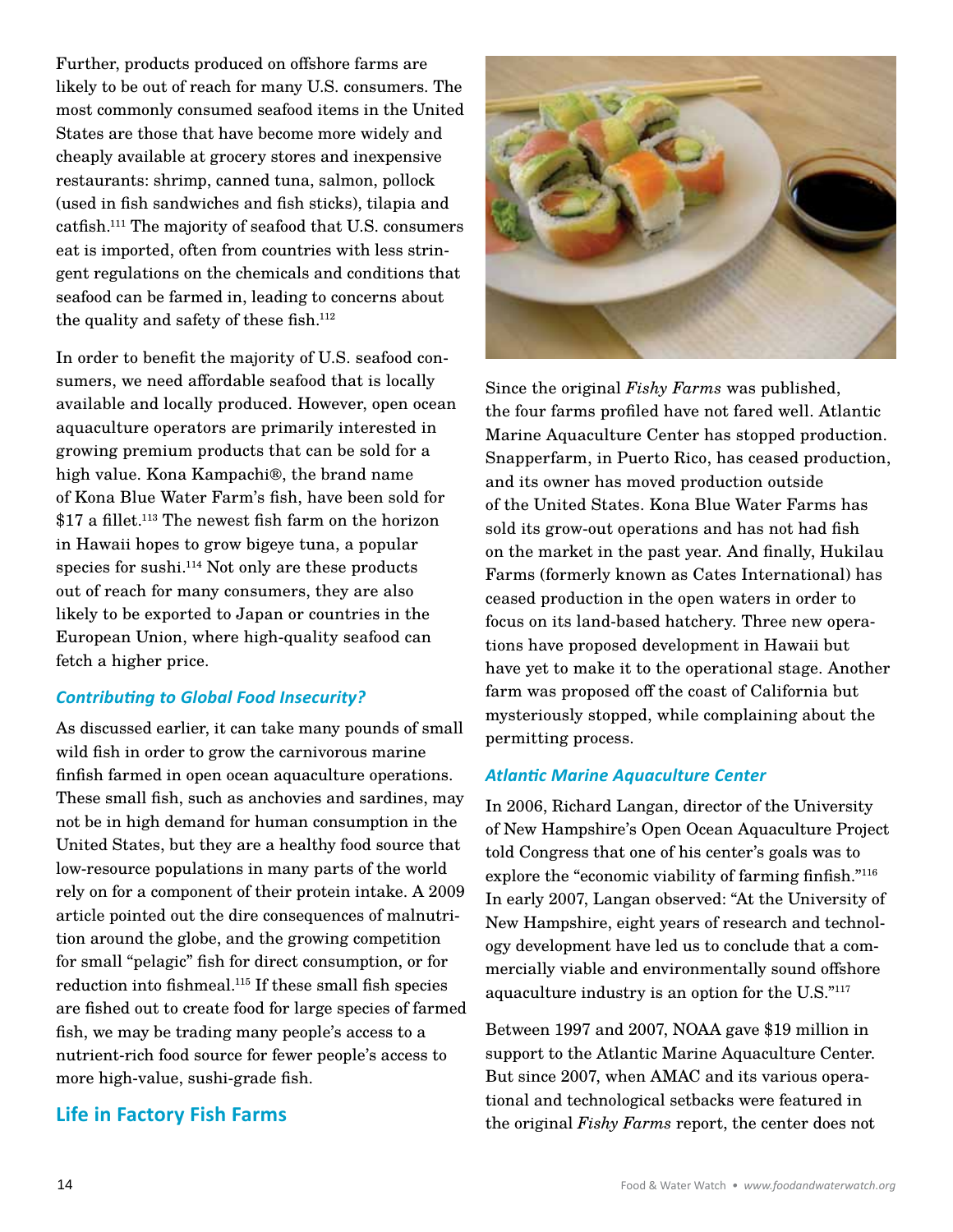Further, products produced on offshore farms are likely to be out of reach for many U.S. consumers. The most commonly consumed seafood items in the United States are those that have become more widely and cheaply available at grocery stores and inexpensive restaurants: shrimp, canned tuna, salmon, pollock (used in fish sandwiches and fish sticks), tilapia and catfish. 111 The majority of seafood that U.S. consumers eat is imported, often from countries with less stringent regulations on the chemicals and conditions that seafood can be farmed in, leading to concerns about the quality and safety of these fish. 112

In order to benefit the majority of U.S. seafood consumers, we need affordable seafood that is locally available and locally produced. However, open ocean aquaculture operators are primarily interested in growing premium products that can be sold for a high value. Kona Kampachi®, the brand name of Kona Blue Water Farm's fish, have been sold for \$17 a fillet. 113 The newest fish farm on the horizon in Hawaii hopes to grow bigeye tuna, a popular species for sushi. 114 Not only are these products out of reach for many consumers, they are also likely to be exported to Japan or countries in the European Union, where high-quality seafood can fetch a higher price.

## *Contributing to Global Food Insecurity?*

As discussed earlier, it can take many pounds of small wild fish in order to grow the carnivorous marine finfish farmed in open ocean aquaculture operations. These small fish, such as anchovies and sardines, may not be in high demand for human consumption in the United States, but they are a healthy food source that low-resource populations in many parts of the world rely on for a component of their protein intake. A 2009 article pointed out the dire consequences of malnutrition around the globe, and the growing competition for small "pelagic" fish for direct consumption, or for reduction into fishmeal. 115 If these small fish species are fished out to create food for large species of farmed fish, we may be trading many people's access to a nutrient-rich food source for fewer people's access to more high-value, sushi-grade fish.

# **Life in Factory Fish Farms**



Since the original *Fishy Farms* was published, the four farms profiled have not fared well. Atlantic Marine Aquaculture Center has stopped production. Snapperfarm, in Puerto Rico, has ceased production, and its owner has moved production outside of the United States. Kona Blue Water Farms has sold its grow-out operations and has not had fish on the market in the past year. And finally, Hukilau Farms (formerly known as Cates International) has ceased production in the open waters in order to focus on its land-based hatchery. Three new operations have proposed development in Hawaii but have yet to make it to the operational stage. Another farm was proposed off the coast of California but mysteriously stopped, while complaining about the permitting process.

#### *Atlantic Marine Aquaculture Center*

In 2006, Richard Langan, director of the University of New Hampshire's Open Ocean Aquaculture Project told Congress that one of his center's goals was to explore the "economic viability of farming finfish."116 In early 2007, Langan observed: "At the University of New Hampshire, eight years of research and technology development have led us to conclude that a commercially viable and environmentally sound offshore aquaculture industry is an option for the U.S."117

Between 1997 and 2007, NOAA gave \$19 million in support to the Atlantic Marine Aquaculture Center. But since 2007, when AMAC and its various operational and technological setbacks were featured in the original *Fishy Farms* report, the center does not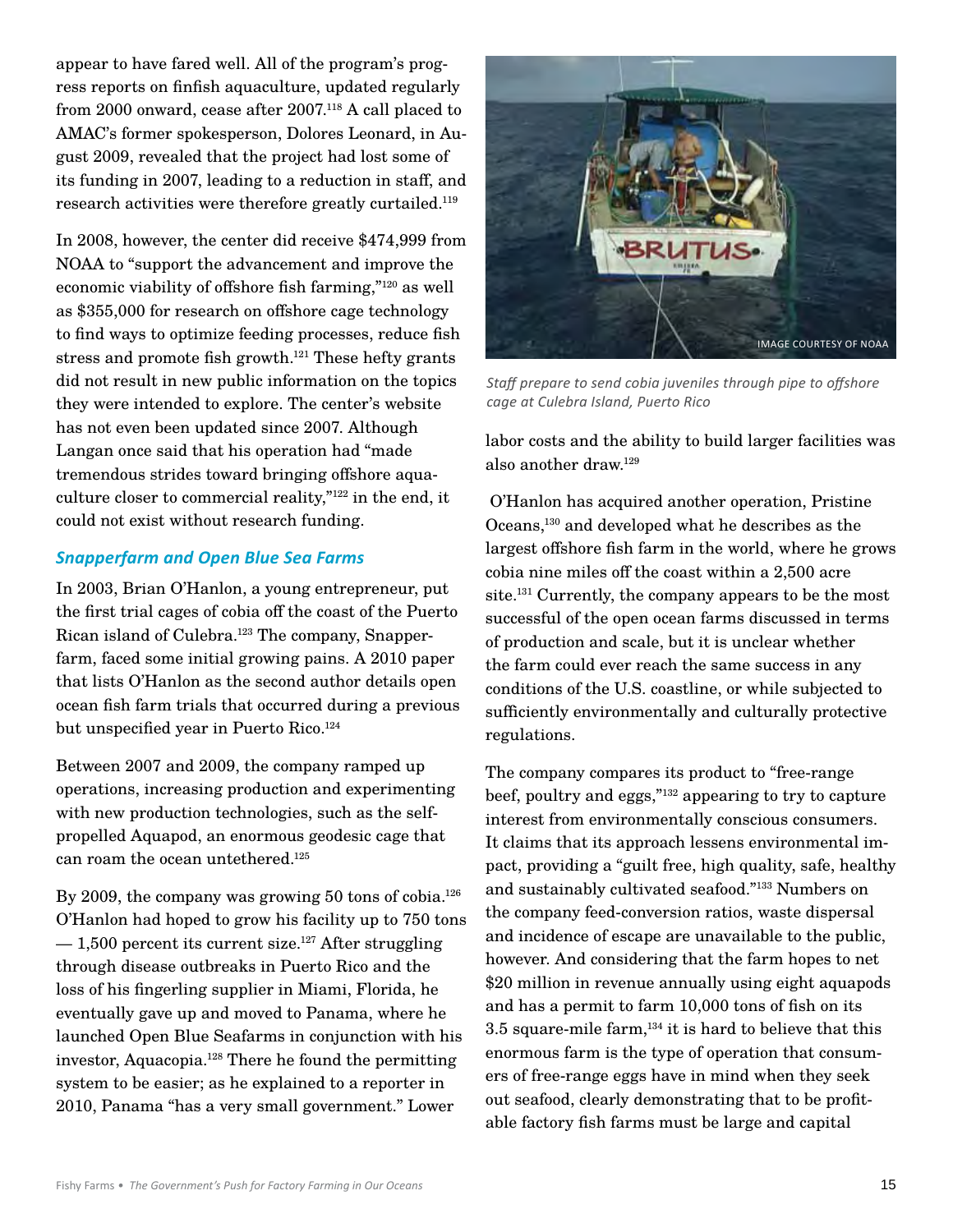appear to have fared well. All of the program's progress reports on finfish aquaculture, updated regularly from 2000 onward, cease after 2007. 118 A call placed to AMAC's former spokesperson, Dolores Leonard, in August 2009, revealed that the project had lost some of its funding in 2007, leading to a reduction in staff, and research activities were therefore greatly curtailed. 119

In 2008, however, the center did receive \$474,999 from NOAA to "support the advancement and improve the economic viability of offshore fish farming,"120 as well as \$355,000 for research on offshore cage technology to find ways to optimize feeding processes, reduce fish stress and promote fish growth. 121 These hefty grants did not result in new public information on the topics they were intended to explore. The center's website has not even been updated since 2007. Although Langan once said that his operation had "made tremendous strides toward bringing offshore aquaculture closer to commercial reality,"122 in the end, it could not exist without research funding.

#### *Snapperfarm and Open Blue Sea Farms*

In 2003, Brian O'Hanlon, a young entrepreneur, put the first trial cages of cobia off the coast of the Puerto Rican island of Culebra. 123 The company, Snapperfarm, faced some initial growing pains. A 2010 paper that lists O'Hanlon as the second author details open ocean fish farm trials that occurred during a previous but unspecified year in Puerto Rico. 124

Between 2007 and 2009, the company ramped up operations, increasing production and experimenting with new production technologies, such as the selfpropelled Aquapod, an enormous geodesic cage that can roam the ocean untethered. 125

By 2009, the company was growing  $50$  tons of cobia. $^{126}$ O'Hanlon had hoped to grow his facility up to 750 tons  $-1,500$  percent its current size.<sup>127</sup> After struggling through disease outbreaks in Puerto Rico and the loss of his fingerling supplier in Miami, Florida, he eventually gave up and moved to Panama, where he launched Open Blue Seafarms in conjunction with his investor, Aquacopia. 128 There he found the permitting system to be easier; as he explained to a reporter in 2010, Panama "has a very small government." Lower



*Staff prepare to send cobia juveniles through pipe to offshore cage at Culebra Island, Puerto Rico*

labor costs and the ability to build larger facilities was also another draw. 129

 O'Hanlon has acquired another operation, Pristine Oceans,130 and developed what he describes as the largest offshore fish farm in the world, where he grows cobia nine miles off the coast within a 2,500 acre site. 131 Currently, the company appears to be the most successful of the open ocean farms discussed in terms of production and scale, but it is unclear whether the farm could ever reach the same success in any conditions of the U.S. coastline, or while subjected to sufficiently environmentally and culturally protective regulations.

The company compares its product to "free-range beef, poultry and eggs,"132 appearing to try to capture interest from environmentally conscious consumers. It claims that its approach lessens environmental impact, providing a "guilt free, high quality, safe, healthy and sustainably cultivated seafood."133 Numbers on the company feed-conversion ratios, waste dispersal and incidence of escape are unavailable to the public, however. And considering that the farm hopes to net \$20 million in revenue annually using eight aquapods and has a permit to farm 10,000 tons of fish on its 3.5 square-mile farm, $134$  it is hard to believe that this enormous farm is the type of operation that consumers of free-range eggs have in mind when they seek out seafood, clearly demonstrating that to be profitable factory fish farms must be large and capital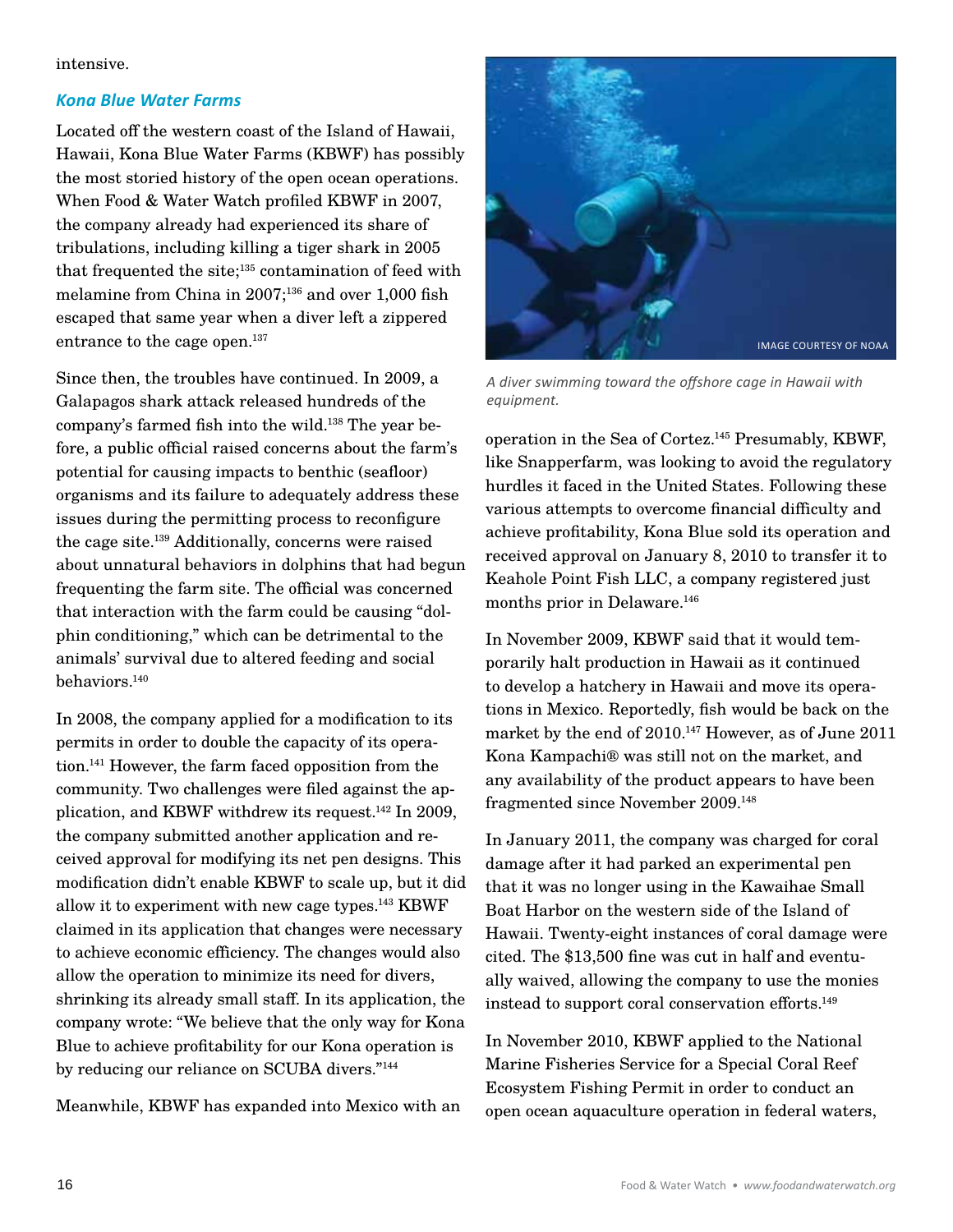#### intensive.

#### *Kona Blue Water Farms*

Located off the western coast of the Island of Hawaii, Hawaii, Kona Blue Water Farms (KBWF) has possibly the most storied history of the open ocean operations. When Food & Water Watch profiled KBWF in 2007, the company already had experienced its share of tribulations, including killing a tiger shark in 2005 that frequented the site;<sup>135</sup> contamination of feed with melamine from China in 2007;<sup>136</sup> and over 1,000 fish escaped that same year when a diver left a zippered entrance to the cage open. 137

Since then, the troubles have continued. In 2009, a Galapagos shark attack released hundreds of the company's farmed fish into the wild. 138 The year before, a public official raised concerns about the farm's potential for causing impacts to benthic (seafloor) organisms and its failure to adequately address these issues during the permitting process to reconfigure the cage site. 139 Additionally, concerns were raised about unnatural behaviors in dolphins that had begun frequenting the farm site. The official was concerned that interaction with the farm could be causing "dolphin conditioning," which can be detrimental to the animals' survival due to altered feeding and social behaviors. 140

In 2008, the company applied for a modification to its permits in order to double the capacity of its operation. 141 However, the farm faced opposition from the community. Two challenges were filed against the application, and KBWF withdrew its request. 142 In 2009, the company submitted another application and received approval for modifying its net pen designs. This modification didn't enable KBWF to scale up, but it did allow it to experiment with new cage types. 143 KBWF claimed in its application that changes were necessary to achieve economic efficiency. The changes would also allow the operation to minimize its need for divers, shrinking its already small staff. In its application, the company wrote: "We believe that the only way for Kona Blue to achieve profitability for our Kona operation is by reducing our reliance on SCUBA divers."144

Meanwhile, KBWF has expanded into Mexico with an



*A diver swimming toward the offshore cage in Hawaii with equipment.*

operation in the Sea of Cortez. 145 Presumably, KBWF, like Snapperfarm, was looking to avoid the regulatory hurdles it faced in the United States. Following these various attempts to overcome financial difficulty and achieve profitability, Kona Blue sold its operation and received approval on January 8, 2010 to transfer it to Keahole Point Fish LLC, a company registered just months prior in Delaware. 146

In November 2009, KBWF said that it would temporarily halt production in Hawaii as it continued to develop a hatchery in Hawaii and move its operations in Mexico. Reportedly, fish would be back on the market by the end of 2010. 147 However, as of June 2011 Kona Kampachi® was still not on the market, and any availability of the product appears to have been fragmented since November 2009. 148

In January 2011, the company was charged for coral damage after it had parked an experimental pen that it was no longer using in the Kawaihae Small Boat Harbor on the western side of the Island of Hawaii. Twenty-eight instances of coral damage were cited. The \$13,500 fine was cut in half and eventually waived, allowing the company to use the monies instead to support coral conservation efforts. 149

In November 2010, KBWF applied to the National Marine Fisheries Service for a Special Coral Reef Ecosystem Fishing Permit in order to conduct an open ocean aquaculture operation in federal waters,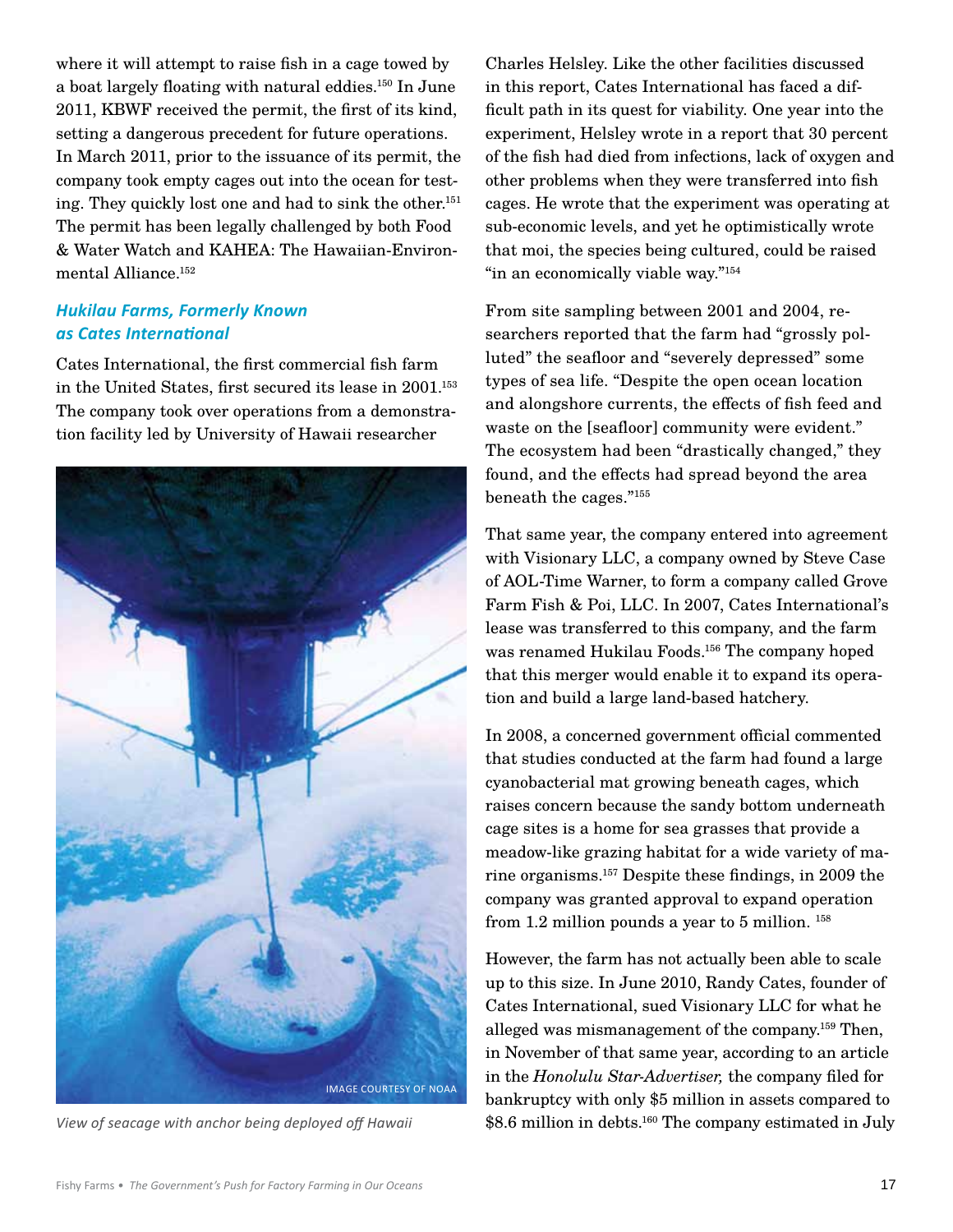where it will attempt to raise fish in a cage towed by a boat largely floating with natural eddies. 150 In June 2011, KBWF received the permit, the first of its kind, setting a dangerous precedent for future operations. In March 2011, prior to the issuance of its permit, the company took empty cages out into the ocean for testing. They quickly lost one and had to sink the other. 151 The permit has been legally challenged by both Food & Water Watch and KAHEA: The Hawaiian-Environmental Alliance. 152

### *Hukilau Farms, Formerly Known as Cates International*

Cates International, the first commercial fish farm in the United States, first secured its lease in 2001. 153 The company took over operations from a demonstration facility led by University of Hawaii researcher



Charles Helsley. Like the other facilities discussed in this report, Cates International has faced a difficult path in its quest for viability. One year into the experiment, Helsley wrote in a report that 30 percent of the fish had died from infections, lack of oxygen and other problems when they were transferred into fish cages. He wrote that the experiment was operating at sub-economic levels, and yet he optimistically wrote that moi, the species being cultured, could be raised "in an economically viable way."<sup>154</sup>

From site sampling between 2001 and 2004, researchers reported that the farm had "grossly polluted" the seafloor and "severely depressed" some types of sea life. "Despite the open ocean location and alongshore currents, the effects of fish feed and waste on the [seafloor] community were evident." The ecosystem had been "drastically changed," they found, and the effects had spread beyond the area beneath the cages."155

That same year, the company entered into agreement with Visionary LLC, a company owned by Steve Case of AOL-Time Warner, to form a company called Grove Farm Fish & Poi, LLC. In 2007, Cates International's lease was transferred to this company, and the farm was renamed Hukilau Foods. 156 The company hoped that this merger would enable it to expand its operation and build a large land-based hatchery.

In 2008, a concerned government official commented that studies conducted at the farm had found a large cyanobacterial mat growing beneath cages, which raises concern because the sandy bottom underneath cage sites is a home for sea grasses that provide a meadow-like grazing habitat for a wide variety of marine organisms. 157 Despite these findings, in 2009 the company was granted approval to expand operation from 1.2 million pounds a year to 5 million. <sup>158</sup>

However, the farm has not actually been able to scale up to this size. In June 2010, Randy Cates, founder of Cates International, sued Visionary LLC for what he alleged was mismanagement of the company. 159 Then, in November of that same year, according to an article in the *Honolulu Star-Advertiser,* the company filed for bankruptcy with only \$5 million in assets compared to \$8.6 million in debts. <sup>160</sup> *View of seacage with anchor being deployed off Hawaii* The company estimated in July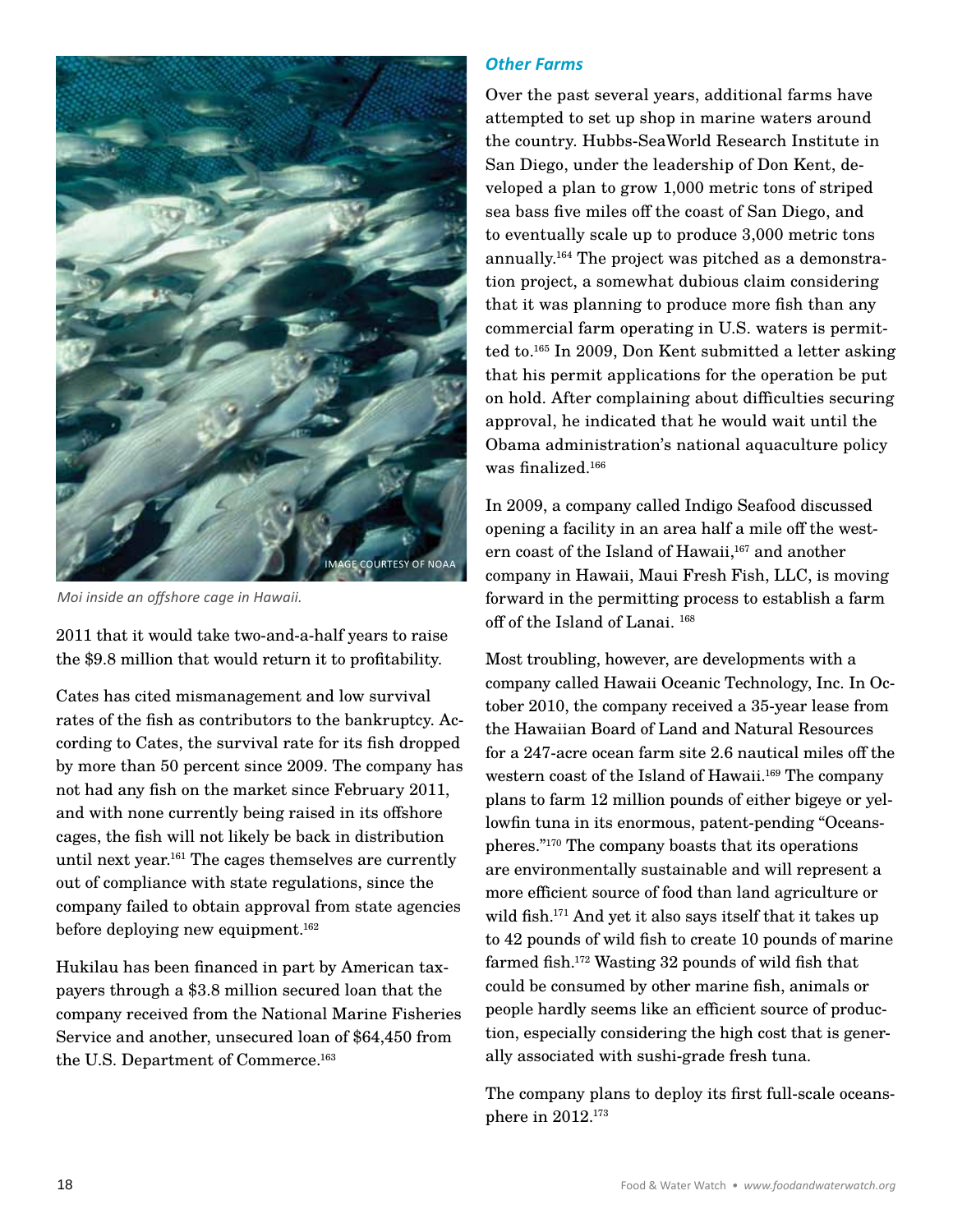

*Moi inside an offshore cage in Hawaii.*

2011 that it would take two-and-a-half years to raise the \$9.8 million that would return it to profitability.

Cates has cited mismanagement and low survival rates of the fish as contributors to the bankruptcy. According to Cates, the survival rate for its fish dropped by more than 50 percent since 2009. The company has not had any fish on the market since February 2011, and with none currently being raised in its offshore cages, the fish will not likely be back in distribution until next year. 161 The cages themselves are currently out of compliance with state regulations, since the company failed to obtain approval from state agencies before deploying new equipment. 162

Hukilau has been financed in part by American taxpayers through a \$3.8 million secured loan that the company received from the National Marine Fisheries Service and another, unsecured loan of \$64,450 from the U.S. Department of Commerce. 163

#### *Other Farms*

Over the past several years, additional farms have attempted to set up shop in marine waters around the country. Hubbs-SeaWorld Research Institute in San Diego, under the leadership of Don Kent, developed a plan to grow 1,000 metric tons of striped sea bass five miles off the coast of San Diego, and to eventually scale up to produce 3,000 metric tons annually. 164 The project was pitched as a demonstration project, a somewhat dubious claim considering that it was planning to produce more fish than any commercial farm operating in U.S. waters is permitted to. 165 In 2009, Don Kent submitted a letter asking that his permit applications for the operation be put on hold. After complaining about difficulties securing approval, he indicated that he would wait until the Obama administration's national aquaculture policy was finalized. 166

In 2009, a company called Indigo Seafood discussed opening a facility in an area half a mile off the western coast of the Island of Hawaii,<sup>167</sup> and another company in Hawaii, Maui Fresh Fish, LLC, is moving forward in the permitting process to establish a farm off of the Island of Lanai. <sup>168</sup>

Most troubling, however, are developments with a company called Hawaii Oceanic Technology, Inc. In October 2010, the company received a 35-year lease from the Hawaiian Board of Land and Natural Resources for a 247-acre ocean farm site 2.6 nautical miles off the western coast of the Island of Hawaii. 169 The company plans to farm 12 million pounds of either bigeye or yellowfin tuna in its enormous, patent-pending "Oceanspheres."170 The company boasts that its operations are environmentally sustainable and will represent a more efficient source of food than land agriculture or wild fish. 171 And yet it also says itself that it takes up to 42 pounds of wild fish to create 10 pounds of marine farmed fish. 172 Wasting 32 pounds of wild fish that could be consumed by other marine fish, animals or people hardly seems like an efficient source of production, especially considering the high cost that is generally associated with sushi-grade fresh tuna.

The company plans to deploy its first full-scale oceansphere in 2012. 173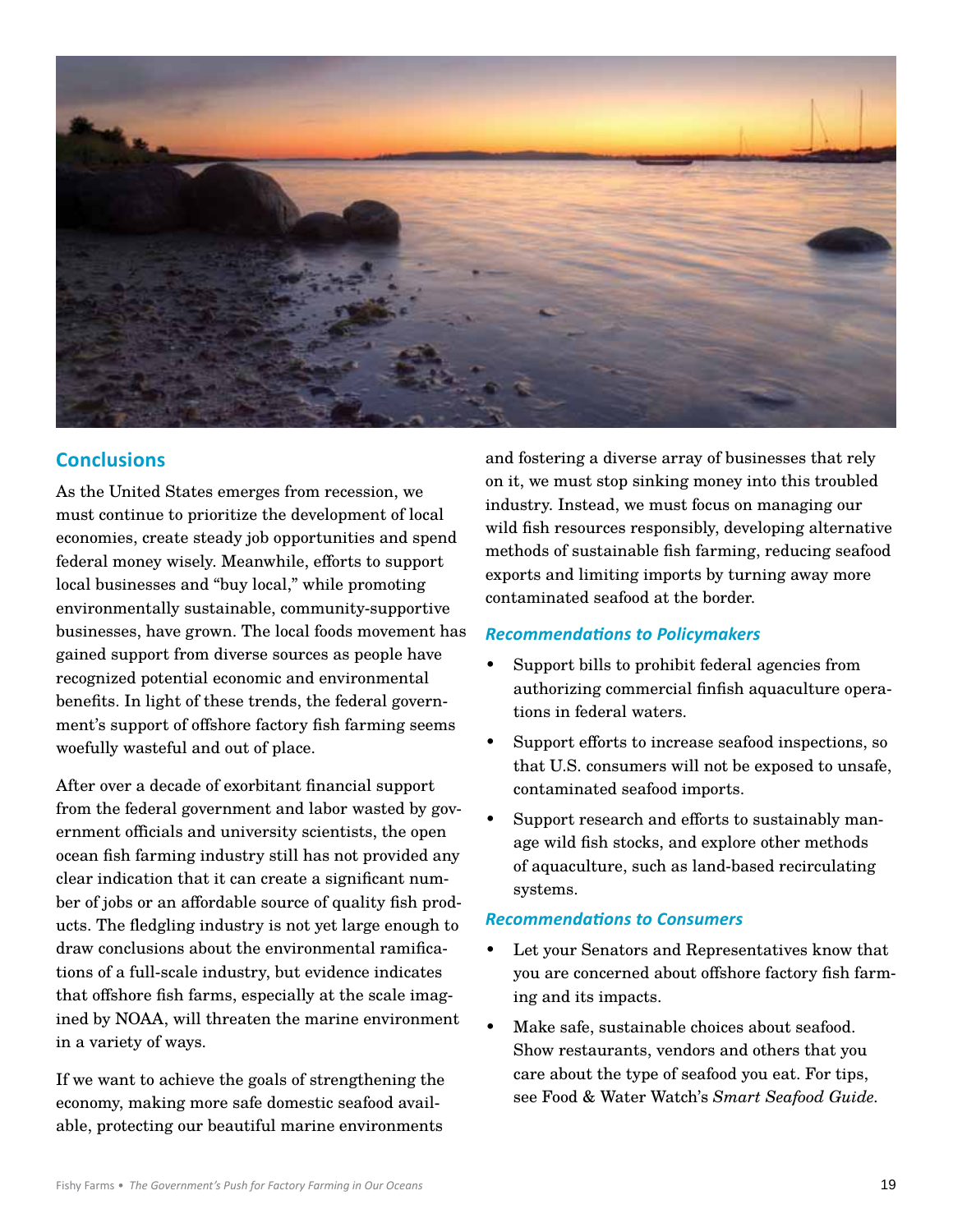

# **Conclusions**

As the United States emerges from recession, we must continue to prioritize the development of local economies, create steady job opportunities and spend federal money wisely. Meanwhile, efforts to support local businesses and "buy local," while promoting environmentally sustainable, community-supportive businesses, have grown. The local foods movement has gained support from diverse sources as people have recognized potential economic and environmental benefits. In light of these trends, the federal government's support of offshore factory fish farming seems woefully wasteful and out of place.

After over a decade of exorbitant financial support from the federal government and labor wasted by government officials and university scientists, the open ocean fish farming industry still has not provided any clear indication that it can create a significant number of jobs or an affordable source of quality fish products. The fledgling industry is not yet large enough to draw conclusions about the environmental ramifications of a full-scale industry, but evidence indicates that offshore fish farms, especially at the scale imagined by NOAA, will threaten the marine environment in a variety of ways.

If we want to achieve the goals of strengthening the economy, making more safe domestic seafood available, protecting our beautiful marine environments

and fostering a diverse array of businesses that rely on it, we must stop sinking money into this troubled industry. Instead, we must focus on managing our wild fish resources responsibly, developing alternative methods of sustainable fish farming, reducing seafood exports and limiting imports by turning away more contaminated seafood at the border.

#### *Recommendations to Policymakers*

- Support bills to prohibit federal agencies from authorizing commercial finfish aquaculture operations in federal waters.
- Support efforts to increase seafood inspections, so that U.S. consumers will not be exposed to unsafe, contaminated seafood imports.
- Support research and efforts to sustainably manage wild fish stocks, and explore other methods of aquaculture, such as land-based recirculating systems.

#### *Recommendations to Consumers*

- Let your Senators and Representatives know that you are concerned about offshore factory fish farming and its impacts.
- Make safe, sustainable choices about seafood. Show restaurants, vendors and others that you care about the type of seafood you eat. For tips, see Food & Water Watch's *Smart Seafood Guide.*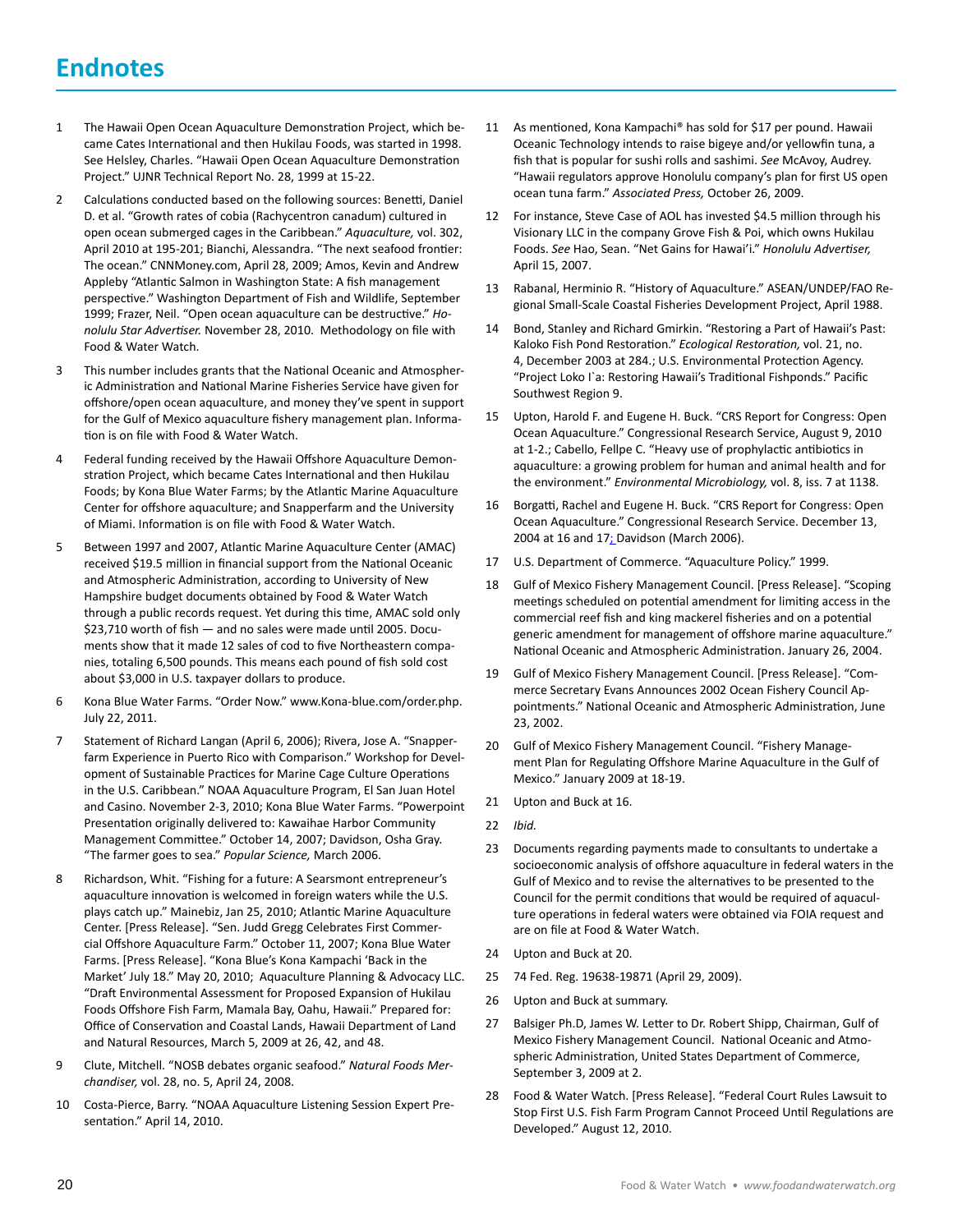# **Endnotes**

- 1 The Hawaii Open Ocean Aquaculture Demonstration Project, which became Cates International and then Hukilau Foods, was started in 1998. See Helsley, Charles. "Hawaii Open Ocean Aquaculture Demonstration Project." UJNR Technical Report No. 28, 1999 at 15-22.
- 2 Calculations conducted based on the following sources: Benetti, Daniel D. et al. "Growth rates of cobia (Rachycentron canadum) cultured in open ocean submerged cages in the Caribbean." *Aquaculture,* vol. 302, April 2010 at 195-201; Bianchi, Alessandra. "The next seafood frontier: The ocean." CNNMoney.com, April 28, 2009; Amos, Kevin and Andrew Appleby "Atlantic Salmon in Washington State: A fish management perspective." Washington Department of Fish and Wildlife, September 1999; Frazer, Neil. "Open ocean aquaculture can be destructive." *Honolulu Star Advertiser.* November 28, 2010. Methodology on file with Food & Water Watch.
- 3 This number includes grants that the National Oceanic and Atmospheric Administration and National Marine Fisheries Service have given for offshore/open ocean aquaculture, and money they've spent in support for the Gulf of Mexico aquaculture fishery management plan. Information is on file with Food & Water Watch.
- 4 Federal funding received by the Hawaii Offshore Aquaculture Demonstration Project, which became Cates International and then Hukilau Foods; by Kona Blue Water Farms; by the Atlantic Marine Aquaculture Center for offshore aquaculture; and Snapperfarm and the University of Miami. Information is on file with Food & Water Watch.
- 5 Between 1997 and 2007, Atlantic Marine Aquaculture Center (AMAC) received \$19.5 million in financial support from the National Oceanic and Atmospheric Administration, according to University of New Hampshire budget documents obtained by Food & Water Watch through a public records request. Yet during this time, AMAC sold only \$23,710 worth of fish — and no sales were made until 2005. Documents show that it made 12 sales of cod to five Northeastern companies, totaling 6,500 pounds. This means each pound of fish sold cost about \$3,000 in U.S. taxpayer dollars to produce.
- 6 Kona Blue Water Farms. "Order Now." www.Kona-blue.com/order.php. July 22, 2011.
- 7 Statement of Richard Langan (April 6, 2006); Rivera, Jose A. "Snapperfarm Experience in Puerto Rico with Comparison." Workshop for Development of Sustainable Practices for Marine Cage Culture Operations in the U.S. Caribbean." NOAA Aquaculture Program, El San Juan Hotel and Casino. November 2-3, 2010; Kona Blue Water Farms. "Powerpoint Presentation originally delivered to: Kawaihae Harbor Community Management Committee." October 14, 2007; Davidson, Osha Gray. "The farmer goes to sea." *Popular Science,* March 2006.
- 8 Richardson, Whit. "Fishing for a future: A Searsmont entrepreneur's aquaculture innovation is welcomed in foreign waters while the U.S. plays catch up." Mainebiz, Jan 25, 2010; Atlantic Marine Aquaculture Center. [Press Release]. "Sen. Judd Gregg Celebrates First Commercial Offshore Aquaculture Farm." October 11, 2007; Kona Blue Water Farms. [Press Release]. "Kona Blue's Kona Kampachi 'Back in the Market' July 18." May 20, 2010; Aquaculture Planning & Advocacy LLC. "Draft Environmental Assessment for Proposed Expansion of Hukilau Foods Offshore Fish Farm, Mamala Bay, Oahu, Hawaii." Prepared for: Office of Conservation and Coastal Lands, Hawaii Department of Land and Natural Resources, March 5, 2009 at 26, 42, and 48.
- 9 Clute, Mitchell. "NOSB debates organic seafood." *Natural Foods Merchandiser,* vol. 28, no. 5, April 24, 2008.
- 10 Costa-Pierce, Barry. "NOAA Aquaculture Listening Session Expert Presentation." April 14, 2010.
- 11 As mentioned, Kona Kampachi® has sold for \$17 per pound. Hawaii Oceanic Technology intends to raise bigeye and/or yellowfin tuna, a fish that is popular for sushi rolls and sashimi. *See* McAvoy, Audrey. "Hawaii regulators approve Honolulu company's plan for first US open ocean tuna farm." *Associated Press,* October 26, 2009.
- 12 For instance, Steve Case of AOL has invested \$4.5 million through his Visionary LLC in the company Grove Fish & Poi, which owns Hukilau Foods. *See* Hao, Sean. "Net Gains for Hawai'i." *Honolulu Advertiser,*  April 15, 2007.
- 13 Rabanal, Herminio R. "History of Aquaculture." ASEAN/UNDEP/FAO Regional Small-Scale Coastal Fisheries Development Project, April 1988.
- 14 Bond, Stanley and Richard Gmirkin. "Restoring a Part of Hawaii's Past: Kaloko Fish Pond Restoration." *Ecological Restoration,* vol. 21, no. 4, December 2003 at 284.; U.S. Environmental Protection Agency. "Project Loko I`a: Restoring Hawaii's Traditional Fishponds." Pacific Southwest Region 9.
- 15 Upton, Harold F. and Eugene H. Buck. "CRS Report for Congress: Open Ocean Aquaculture." Congressional Research Service, August 9, 2010 at 1-2.; Cabello, Fellpe C. "Heavy use of prophylactic antibiotics in aquaculture: a growing problem for human and animal health and for the environment." *Environmental Microbiology,* vol. 8, iss. 7 at 1138.
- 16 Borgatti, Rachel and Eugene H. Buck. "CRS Report for Congress: Open Ocean Aquaculture." Congressional Research Service. December 13, 2004 at 16 and 17; Davidson (March 2006).
- 17 U.S. Department of Commerce. "Aquaculture Policy." 1999.
- 18 Gulf of Mexico Fishery Management Council. [Press Release]. "Scoping meetings scheduled on potential amendment for limiting access in the commercial reef fish and king mackerel fisheries and on a potential generic amendment for management of offshore marine aquaculture." National Oceanic and Atmospheric Administration. January 26, 2004.
- 19 Gulf of Mexico Fishery Management Council. [Press Release]. "Commerce Secretary Evans Announces 2002 Ocean Fishery Council Appointments." National Oceanic and Atmospheric Administration, June 23, 2002.
- 20 Gulf of Mexico Fishery Management Council. "Fishery Management Plan for Regulating Offshore Marine Aquaculture in the Gulf of Mexico." January 2009 at 18-19.
- 21 Upton and Buck at 16.
- 22 *Ibid.*
- 23 Documents regarding payments made to consultants to undertake a socioeconomic analysis of offshore aquaculture in federal waters in the Gulf of Mexico and to revise the alternatives to be presented to the Council for the permit conditions that would be required of aquaculture operations in federal waters were obtained via FOIA request and are on file at Food & Water Watch.
- 24 Upton and Buck at 20.
- 25 74 Fed. Reg. 19638-19871 (April 29, 2009).
- 26 Upton and Buck at summary.
- 27 Balsiger Ph.D, James W. Letter to Dr. Robert Shipp, Chairman, Gulf of Mexico Fishery Management Council. National Oceanic and Atmospheric Administration, United States Department of Commerce, September 3, 2009 at 2.
- 28 Food & Water Watch. [Press Release]. "Federal Court Rules Lawsuit to Stop First U.S. Fish Farm Program Cannot Proceed Until Regulations are Developed." August 12, 2010.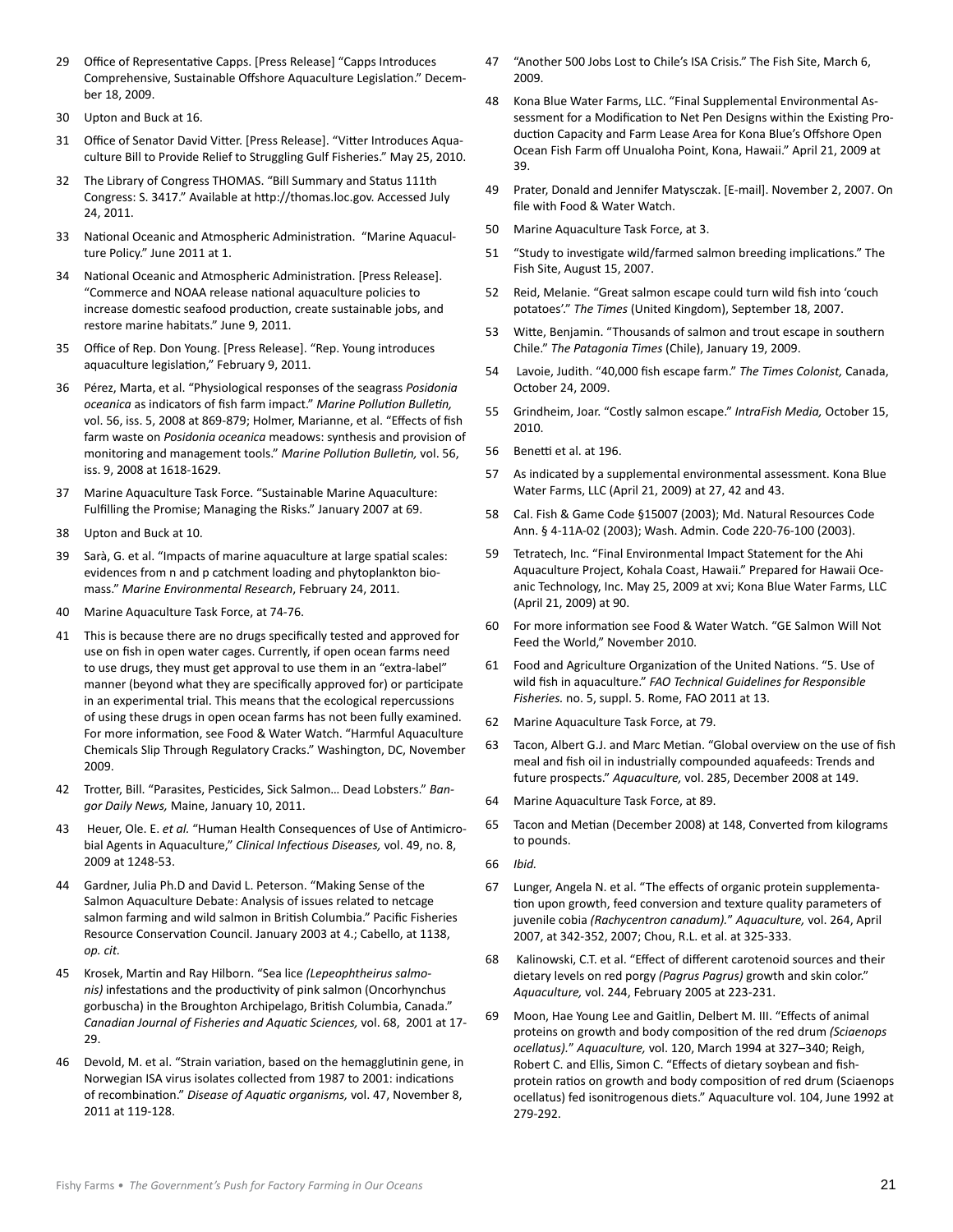- 29 Office of Representative Capps. [Press Release] "Capps Introduces Comprehensive, Sustainable Offshore Aquaculture Legislation." December 18, 2009.
- 30 Upton and Buck at 16.
- 31 Office of Senator David Vitter. [Press Release]. "Vitter Introduces Aquaculture Bill to Provide Relief to Struggling Gulf Fisheries." May 25, 2010.
- 32 The Library of Congress THOMAS. "Bill Summary and Status 111th Congress: S. 3417." Available at http://thomas.loc.gov. Accessed July 24, 2011.
- 33 National Oceanic and Atmospheric Administration. "Marine Aquaculture Policy." June 2011 at 1.
- 34 National Oceanic and Atmospheric Administration. [Press Release]. "Commerce and NOAA release national aquaculture policies to increase domestic seafood production, create sustainable jobs, and restore marine habitats." June 9, 2011.
- 35 Office of Rep. Don Young. [Press Release]. "Rep. Young introduces aquaculture legislation," February 9, 2011.
- 36 Pérez, Marta, et al. "Physiological responses of the seagrass *Posidonia oceanica* as indicators of fish farm impact." *Marine Pollution Bulletin,* vol. 56, iss. 5, 2008 at 869-879; Holmer, Marianne, et al. "Effects of fish farm waste on *Posidonia oceanica* meadows: synthesis and provision of monitoring and management tools." *Marine Pollution Bulletin,* vol. 56, iss. 9, 2008 at 1618-1629.
- 37 Marine Aquaculture Task Force. "Sustainable Marine Aquaculture: Fulfilling the Promise; Managing the Risks." January 2007 at 69.
- 38 Upton and Buck at 10.
- 39 Sarà, G. et al. "Impacts of marine aquaculture at large spatial scales: evidences from n and p catchment loading and phytoplankton biomass." *Marine Environmental Research*, February 24, 2011.
- 40 Marine Aquaculture Task Force, at 74-76.
- 41 This is because there are no drugs specifically tested and approved for use on fish in open water cages. Currently, if open ocean farms need to use drugs, they must get approval to use them in an "extra-label" manner (beyond what they are specifically approved for) or participate in an experimental trial. This means that the ecological repercussions of using these drugs in open ocean farms has not been fully examined. For more information, see Food & Water Watch. "Harmful Aquaculture Chemicals Slip Through Regulatory Cracks." Washington, DC, November 2009.
- 42 Trotter, Bill. "Parasites, Pesticides, Sick Salmon… Dead Lobsters." *Bangor Daily News,* Maine, January 10, 2011.
- 43 Heuer, Ole. E. *et al.* "Human Health Consequences of Use of Antimicrobial Agents in Aquaculture," *Clinical Infectious Diseases,* vol. 49, no. 8, 2009 at 1248-53.
- 44 Gardner, Julia Ph.D and David L. Peterson. "Making Sense of the Salmon Aquaculture Debate: Analysis of issues related to netcage salmon farming and wild salmon in British Columbia." Pacific Fisheries Resource Conservation Council. January 2003 at 4.; Cabello, at 1138, *op. cit.*
- 45 Krosek, Martin and Ray Hilborn. "Sea lice *(Lepeophtheirus salmonis)* infestations and the productivity of pink salmon (Oncorhynchus gorbuscha) in the Broughton Archipelago, British Columbia, Canada." *Canadian Journal of Fisheries and Aquatic Sciences,* vol. 68, 2001 at 17- 29.
- 46 Devold, M. et al. "Strain variation, based on the hemagglutinin gene, in Norwegian ISA virus isolates collected from 1987 to 2001: indications of recombination." *Disease of Aquatic organisms,* vol. 47, November 8, 2011 at 119-128.
- 47 "Another 500 Jobs Lost to Chile's ISA Crisis." The Fish Site, March 6, 2009.
- 48 Kona Blue Water Farms, LLC. "Final Supplemental Environmental Assessment for a Modification to Net Pen Designs within the Existing Production Capacity and Farm Lease Area for Kona Blue's Offshore Open Ocean Fish Farm off Unualoha Point, Kona, Hawaii." April 21, 2009 at 39.
- 49 Prater, Donald and Jennifer Matysczak. [E-mail]. November 2, 2007. On file with Food & Water Watch.
- 50 Marine Aquaculture Task Force, at 3.
- 51 "Study to investigate wild/farmed salmon breeding implications." The Fish Site, August 15, 2007.
- 52 Reid, Melanie. "Great salmon escape could turn wild fish into 'couch potatoes'." *The Times* (United Kingdom), September 18, 2007.
- 53 Witte, Benjamin. "Thousands of salmon and trout escape in southern Chile." *The Patagonia Times* (Chile), January 19, 2009.
- 54 Lavoie, Judith. "40,000 fish escape farm." *The Times Colonist,* Canada, October 24, 2009.
- 55 Grindheim, Joar. "Costly salmon escape." *IntraFish Media,* October 15, 2010.
- 56 Benetti et al. at 196.
- 57 As indicated by a supplemental environmental assessment. Kona Blue Water Farms, LLC (April 21, 2009) at 27, 42 and 43.
- 58 Cal. Fish & Game Code §15007 (2003); Md. Natural Resources Code Ann. § 4-11A-02 (2003); Wash. Admin. Code 220-76-100 (2003).
- 59 Tetratech, Inc. "Final Environmental Impact Statement for the Ahi Aquaculture Project, Kohala Coast, Hawaii." Prepared for Hawaii Oceanic Technology, Inc. May 25, 2009 at xvi; Kona Blue Water Farms, LLC (April 21, 2009) at 90.
- 60 For more information see Food & Water Watch. "GE Salmon Will Not Feed the World," November 2010.
- 61 Food and Agriculture Organization of the United Nations. "5. Use of wild fish in aquaculture." *FAO Technical Guidelines for Responsible Fisheries.* no. 5, suppl. 5. Rome, FAO 2011 at 13.
- 62 Marine Aquaculture Task Force, at 79.
- 63 Tacon, Albert G.J. and Marc Metian. "Global overview on the use of fish meal and fish oil in industrially compounded aquafeeds: Trends and future prospects." *Aquaculture,* vol. 285, December 2008 at 149.
- 64 Marine Aquaculture Task Force, at 89.
- 65 Tacon and Metian (December 2008) at 148, Converted from kilograms to pounds.
- 66 *Ibid.*
- 67 Lunger, Angela N. et al. "The effects of organic protein supplementation upon growth, feed conversion and texture quality parameters of juvenile cobia *(Rachycentron canadum).*" *Aquaculture,* vol. 264, April 2007, at 342-352, 2007; Chou, R.L. et al. at 325-333.
- 68 Kalinowski, C.T. et al. "Effect of different carotenoid sources and their dietary levels on red porgy *(Pagrus Pagrus)* growth and skin color." *Aquaculture,* vol. 244, February 2005 at 223-231.
- 69 Moon, Hae Young Lee and Gaitlin, Delbert M. III. "Effects of animal proteins on growth and body composition of the red drum *(Sciaenops ocellatus).*" *Aquaculture,* vol. 120, March 1994 at 327–340; Reigh, Robert C. and Ellis, Simon C. "Effects of dietary soybean and fishprotein ratios on growth and body composition of red drum (Sciaenops ocellatus) fed isonitrogenous diets." Aquaculture vol. 104, June 1992 at 279-292.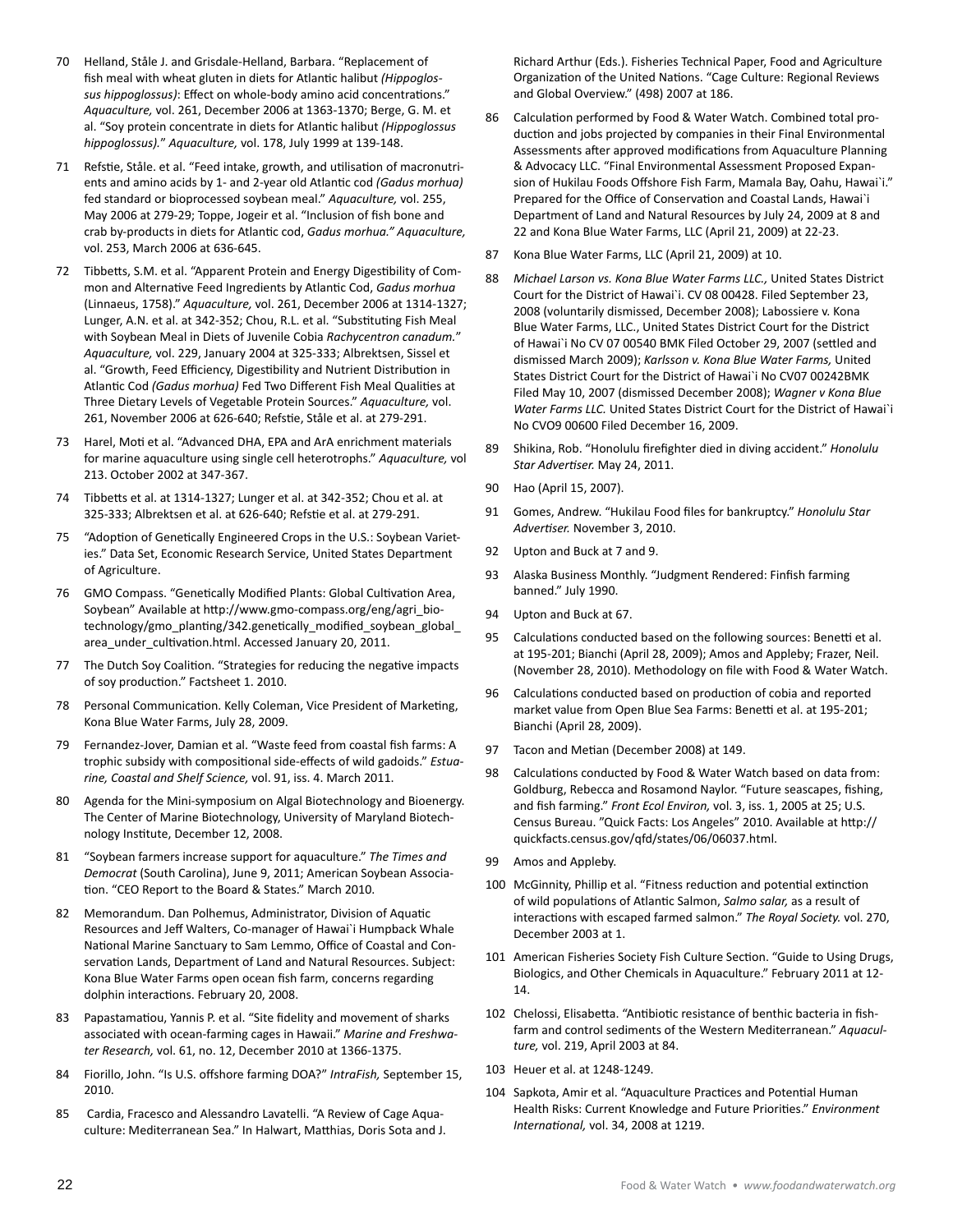- 70 Helland, Ståle J. and Grisdale-Helland, Barbara. "Replacement of fish meal with wheat gluten in diets for Atlantic halibut *(Hippoglossus hippoglossus)*: Effect on whole-body amino acid concentrations." *Aquaculture,* vol. 261, December 2006 at 1363-1370; Berge, G. M. et al. "Soy protein concentrate in diets for Atlantic halibut *(Hippoglossus hippoglossus).*" *Aquaculture,* vol. 178, July 1999 at 139-148.
- 71 Refstie, Ståle. et al. "Feed intake, growth, and utilisation of macronutrients and amino acids by 1- and 2-year old Atlantic cod *(Gadus morhua)*  fed standard or bioprocessed soybean meal." *Aquaculture,* vol. 255, May 2006 at 279-29; Toppe, Jogeir et al. "Inclusion of fish bone and crab by-products in diets for Atlantic cod, *Gadus morhua." Aquaculture,*  vol. 253, March 2006 at 636-645.
- 72 Tibbetts, S.M. et al. "Apparent Protein and Energy Digestibility of Common and Alternative Feed Ingredients by Atlantic Cod, *Gadus morhua*  (Linnaeus, 1758)." *Aquaculture,* vol. 261, December 2006 at 1314-1327; Lunger, A.N. et al. at 342-352; Chou, R.L. et al. "Substituting Fish Meal with Soybean Meal in Diets of Juvenile Cobia *Rachycentron canadum.*" *Aquaculture,* vol. 229, January 2004 at 325-333; Albrektsen, Sissel et al. "Growth, Feed Efficiency, Digestibility and Nutrient Distribution in Atlantic Cod *(Gadus morhua)* Fed Two Different Fish Meal Qualities at Three Dietary Levels of Vegetable Protein Sources." *Aquaculture,* vol. 261, November 2006 at 626-640; Refstie, Ståle et al. at 279-291.
- 73 Harel, Moti et al. "Advanced DHA, EPA and ArA enrichment materials for marine aquaculture using single cell heterotrophs." *Aquaculture,* vol 213. October 2002 at 347-367.
- 74 Tibbetts et al. at 1314-1327; Lunger et al. at 342-352; Chou et al. at 325-333; Albrektsen et al. at 626-640; Refstie et al. at 279-291.
- 75 "Adoption of Genetically Engineered Crops in the U.S.: Soybean Varieties." Data Set, Economic Research Service, United States Department of Agriculture.
- 76 GMO Compass. "Genetically Modified Plants: Global Cultivation Area, Soybean" Available at http://www.gmo-compass.org/eng/agri\_biotechnology/gmo\_planting/342.genetically\_modified\_soybean\_global\_ area\_under\_cultivation.html. Accessed January 20, 2011.
- 77 The Dutch Soy Coalition. "Strategies for reducing the negative impacts of soy production." Factsheet 1. 2010.
- 78 Personal Communication. Kelly Coleman, Vice President of Marketing, Kona Blue Water Farms, July 28, 2009.
- 79 Fernandez-Jover, Damian et al. "Waste feed from coastal fish farms: A trophic subsidy with compositional side-effects of wild gadoids." *Estuarine, Coastal and Shelf Science,* vol. 91, iss. 4. March 2011.
- 80 Agenda for the Mini-symposium on Algal Biotechnology and Bioenergy. The Center of Marine Biotechnology, University of Maryland Biotechnology Institute, December 12, 2008.
- 81 "Soybean farmers increase support for aquaculture." *The Times and Democrat* (South Carolina), June 9, 2011; American Soybean Association. "CEO Report to the Board & States." March 2010.
- 82 Memorandum. Dan Polhemus, Administrator, Division of Aquatic Resources and Jeff Walters, Co-manager of Hawai`i Humpback Whale National Marine Sanctuary to Sam Lemmo, Office of Coastal and Conservation Lands, Department of Land and Natural Resources. Subject: Kona Blue Water Farms open ocean fish farm, concerns regarding dolphin interactions. February 20, 2008.
- 83 Papastamatiou, Yannis P. et al. "Site fidelity and movement of sharks associated with ocean-farming cages in Hawaii." *Marine and Freshwater Research,* vol. 61, no. 12, December 2010 at 1366-1375.
- 84 Fiorillo, John. "Is U.S. offshore farming DOA?" *IntraFish,* September 15, 2010.
- 85 Cardia, Fracesco and Alessandro Lavatelli. "A Review of Cage Aquaculture: Mediterranean Sea." In Halwart, Matthias, Doris Sota and J.

Richard Arthur (Eds.). Fisheries Technical Paper, Food and Agriculture Organization of the United Nations. "Cage Culture: Regional Reviews and Global Overview." (498) 2007 at 186.

- 86 Calculation performed by Food & Water Watch. Combined total production and jobs projected by companies in their Final Environmental Assessments after approved modifications from Aquaculture Planning & Advocacy LLC. "Final Environmental Assessment Proposed Expansion of Hukilau Foods Offshore Fish Farm, Mamala Bay, Oahu, Hawai`i." Prepared for the Office of Conservation and Coastal Lands, Hawai`i Department of Land and Natural Resources by July 24, 2009 at 8 and 22 and Kona Blue Water Farms, LLC (April 21, 2009) at 22-23.
- 87 Kona Blue Water Farms, LLC (April 21, 2009) at 10.
- 88 *Michael Larson vs. Kona Blue Water Farms LLC.,* United States District Court for the District of Hawai`i. CV 08 00428. Filed September 23, 2008 (voluntarily dismissed, December 2008); Labossiere v. Kona Blue Water Farms, LLC., United States District Court for the District of Hawai`i No CV 07 00540 BMK Filed October 29, 2007 (settled and dismissed March 2009); *Karlsson v. Kona Blue Water Farms,* United States District Court for the District of Hawai`i No CV07 00242BMK Filed May 10, 2007 (dismissed December 2008); *Wagner v Kona Blue Water Farms LLC.* United States District Court for the District of Hawai`i No CVO9 00600 Filed December 16, 2009.
- 89 Shikina, Rob. "Honolulu firefighter died in diving accident." *Honolulu Star Advertiser.* May 24, 2011.
- 90 Hao (April 15, 2007).
- 91 Gomes, Andrew. "Hukilau Food files for bankruptcy." *Honolulu Star Advertiser.* November 3, 2010.
- 92 Upton and Buck at 7 and 9.
- 93 Alaska Business Monthly. "Judgment Rendered: Finfish farming banned." July 1990.
- 94 Upton and Buck at 67.
- 95 Calculations conducted based on the following sources: Benetti et al. at 195-201; Bianchi (April 28, 2009); Amos and Appleby; Frazer, Neil. (November 28, 2010). Methodology on file with Food & Water Watch.
- 96 Calculations conducted based on production of cobia and reported market value from Open Blue Sea Farms: Benetti et al. at 195-201; Bianchi (April 28, 2009).
- 97 Tacon and Metian (December 2008) at 149.
- 98 Calculations conducted by Food & Water Watch based on data from: Goldburg, Rebecca and Rosamond Naylor. "Future seascapes, fishing, and fish farming." *Front Ecol Environ,* vol. 3, iss. 1, 2005 at 25; U.S. Census Bureau. "Quick Facts: Los Angeles" 2010. Available at http:// quickfacts.census.gov/qfd/states/06/06037.html.
- 99 Amos and Appleby.
- 100 McGinnity, Phillip et al. "Fitness reduction and potential extinction of wild populations of Atlantic Salmon, *Salmo salar,* as a result of interactions with escaped farmed salmon." *The Royal Society.* vol. 270, December 2003 at 1.
- 101 American Fisheries Society Fish Culture Section. "Guide to Using Drugs, Biologics, and Other Chemicals in Aquaculture." February 2011 at 12- 14.
- 102 Chelossi, Elisabetta. "Antibiotic resistance of benthic bacteria in fishfarm and control sediments of the Western Mediterranean." *Aquaculture,* vol. 219, April 2003 at 84.
- 103 Heuer et al. at 1248-1249.
- 104 Sapkota, Amir et al. "Aquaculture Practices and Potential Human Health Risks: Current Knowledge and Future Priorities." *Environment International,* vol. 34, 2008 at 1219.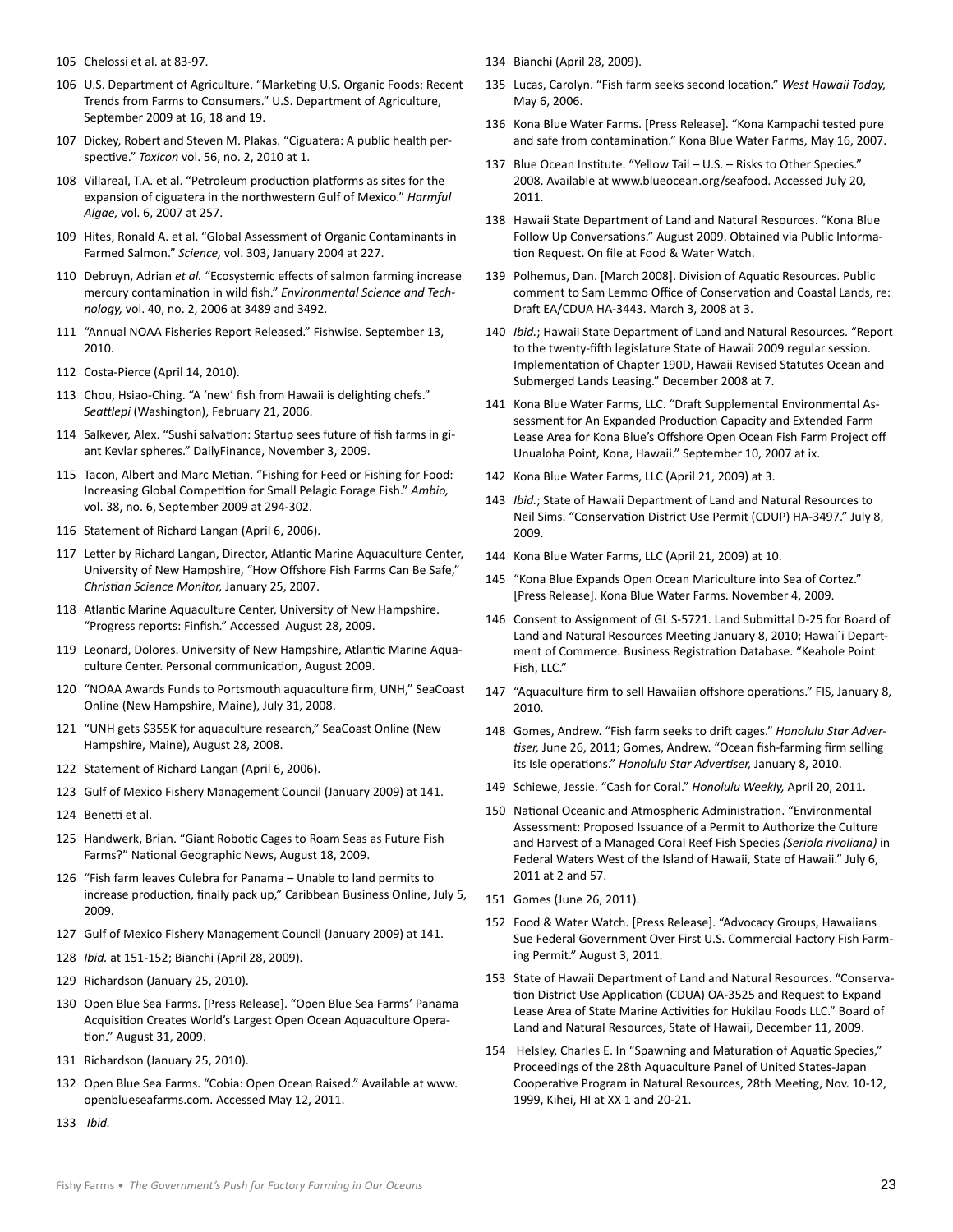- 105 Chelossi et al. at 83-97.
- 106 U.S. Department of Agriculture. "Marketing U.S. Organic Foods: Recent Trends from Farms to Consumers." U.S. Department of Agriculture, September 2009 at 16, 18 and 19.
- 107 Dickey, Robert and Steven M. Plakas. "Ciguatera: A public health perspective." *Toxicon* vol. 56, no. 2, 2010 at 1.
- 108 Villareal, T.A. et al. "Petroleum production platforms as sites for the expansion of ciguatera in the northwestern Gulf of Mexico." *Harmful Algae,* vol. 6, 2007 at 257.
- 109 Hites, Ronald A. et al. "Global Assessment of Organic Contaminants in Farmed Salmon." *Science,* vol. 303, January 2004 at 227.
- 110 Debruyn, Adrian *et al.* "Ecosystemic effects of salmon farming increase mercury contamination in wild fish." *Environmental Science and Technology,* vol. 40, no. 2, 2006 at 3489 and 3492.
- 111 "Annual NOAA Fisheries Report Released." Fishwise. September 13, 2010.
- 112 Costa-Pierce (April 14, 2010).
- 113 Chou, Hsiao-Ching. "A 'new' fish from Hawaii is delighting chefs." *Seattlepi* (Washington), February 21, 2006.
- 114 Salkever, Alex. "Sushi salvation: Startup sees future of fish farms in giant Kevlar spheres." DailyFinance, November 3, 2009.
- 115 Tacon, Albert and Marc Metian. "Fishing for Feed or Fishing for Food: Increasing Global Competition for Small Pelagic Forage Fish." *Ambio,*  vol. 38, no. 6, September 2009 at 294-302.
- 116 Statement of Richard Langan (April 6, 2006).
- 117 Letter by Richard Langan, Director, Atlantic Marine Aquaculture Center, University of New Hampshire, "How Offshore Fish Farms Can Be Safe," *Christian Science Monitor,* January 25, 2007.
- 118 Atlantic Marine Aquaculture Center, University of New Hampshire. "Progress reports: Finfish." Accessed August 28, 2009.
- 119 Leonard, Dolores. University of New Hampshire, Atlantic Marine Aquaculture Center. Personal communication, August 2009.
- 120 "NOAA Awards Funds to Portsmouth aquaculture firm, UNH," SeaCoast Online (New Hampshire, Maine), July 31, 2008.
- 121 "UNH gets \$355K for aquaculture research," SeaCoast Online (New Hampshire, Maine), August 28, 2008.
- 122 Statement of Richard Langan (April 6, 2006).
- 123 Gulf of Mexico Fishery Management Council (January 2009) at 141.
- 124 Benetti et al.
- 125 Handwerk, Brian. "Giant Robotic Cages to Roam Seas as Future Fish Farms?" National Geographic News, August 18, 2009.
- 126 "Fish farm leaves Culebra for Panama Unable to land permits to increase production, finally pack up," Caribbean Business Online, July 5, 2009.
- 127 Gulf of Mexico Fishery Management Council (January 2009) at 141.
- 128 *Ibid.* at 151-152; Bianchi (April 28, 2009).
- 129 Richardson (January 25, 2010).
- 130 Open Blue Sea Farms. [Press Release]. "Open Blue Sea Farms' Panama Acquisition Creates World's Largest Open Ocean Aquaculture Operation." August 31, 2009.
- 131 Richardson (January 25, 2010).
- 132 Open Blue Sea Farms. "Cobia: Open Ocean Raised." Available at www. openblueseafarms.com. Accessed May 12, 2011.
- 133 *Ibid.*
- 134 Bianchi (April 28, 2009).
- 135 Lucas, Carolyn. "Fish farm seeks second location." *West Hawaii Today,*  May 6, 2006.
- 136 Kona Blue Water Farms. [Press Release]. "Kona Kampachi tested pure and safe from contamination." Kona Blue Water Farms, May 16, 2007.
- 137 Blue Ocean Institute. "Yellow Tail U.S. Risks to Other Species." 2008. Available at www.blueocean.org/seafood. Accessed July 20, 2011.
- 138 Hawaii State Department of Land and Natural Resources. "Kona Blue Follow Up Conversations." August 2009. Obtained via Public Information Request. On file at Food & Water Watch.
- 139 Polhemus, Dan. [March 2008]. Division of Aquatic Resources. Public comment to Sam Lemmo Office of Conservation and Coastal Lands, re: Draft EA/CDUA HA-3443. March 3, 2008 at 3.
- 140 *Ibid.*; Hawaii State Department of Land and Natural Resources. "Report to the twenty-fifth legislature State of Hawaii 2009 regular session. Implementation of Chapter 190D, Hawaii Revised Statutes Ocean and Submerged Lands Leasing." December 2008 at 7.
- 141 Kona Blue Water Farms, LLC. "Draft Supplemental Environmental Assessment for An Expanded Production Capacity and Extended Farm Lease Area for Kona Blue's Offshore Open Ocean Fish Farm Project off Unualoha Point, Kona, Hawaii." September 10, 2007 at ix.
- 142 Kona Blue Water Farms, LLC (April 21, 2009) at 3.
- 143 *Ibid.*; State of Hawaii Department of Land and Natural Resources to Neil Sims. "Conservation District Use Permit (CDUP) HA-3497." July 8, 2009.
- 144 Kona Blue Water Farms, LLC (April 21, 2009) at 10.
- 145 "Kona Blue Expands Open Ocean Mariculture into Sea of Cortez." [Press Release]. Kona Blue Water Farms. November 4, 2009.
- 146 Consent to Assignment of GL S-5721. Land Submittal D-25 for Board of Land and Natural Resources Meeting January 8, 2010; Hawai`i Department of Commerce. Business Registration Database. "Keahole Point Fish, LLC."
- 147 "Aquaculture firm to sell Hawaiian offshore operations." FIS, January 8, 2010.
- 148 Gomes, Andrew. "Fish farm seeks to drift cages." *Honolulu Star Advertiser,* June 26, 2011; Gomes, Andrew. "Ocean fish-farming firm selling its Isle operations." *Honolulu Star Advertiser,* January 8, 2010.
- 149 Schiewe, Jessie. "Cash for Coral." *Honolulu Weekly,* April 20, 2011.
- 150 National Oceanic and Atmospheric Administration. "Environmental Assessment: Proposed Issuance of a Permit to Authorize the Culture and Harvest of a Managed Coral Reef Fish Species *(Seriola rivoliana)* in Federal Waters West of the Island of Hawaii, State of Hawaii." July 6, 2011 at 2 and 57.
- 151 Gomes (June 26, 2011).
- 152 Food & Water Watch. [Press Release]. "Advocacy Groups, Hawaiians Sue Federal Government Over First U.S. Commercial Factory Fish Farming Permit." August 3, 2011.
- 153 State of Hawaii Department of Land and Natural Resources. "Conservation District Use Application (CDUA) OA-3525 and Request to Expand Lease Area of State Marine Activities for Hukilau Foods LLC." Board of Land and Natural Resources, State of Hawaii, December 11, 2009.
- 154 Helsley, Charles E. In "Spawning and Maturation of Aquatic Species," Proceedings of the 28th Aquaculture Panel of United States-Japan Cooperative Program in Natural Resources, 28th Meeting, Nov. 10-12, 1999, Kihei, HI at XX 1 and 20-21.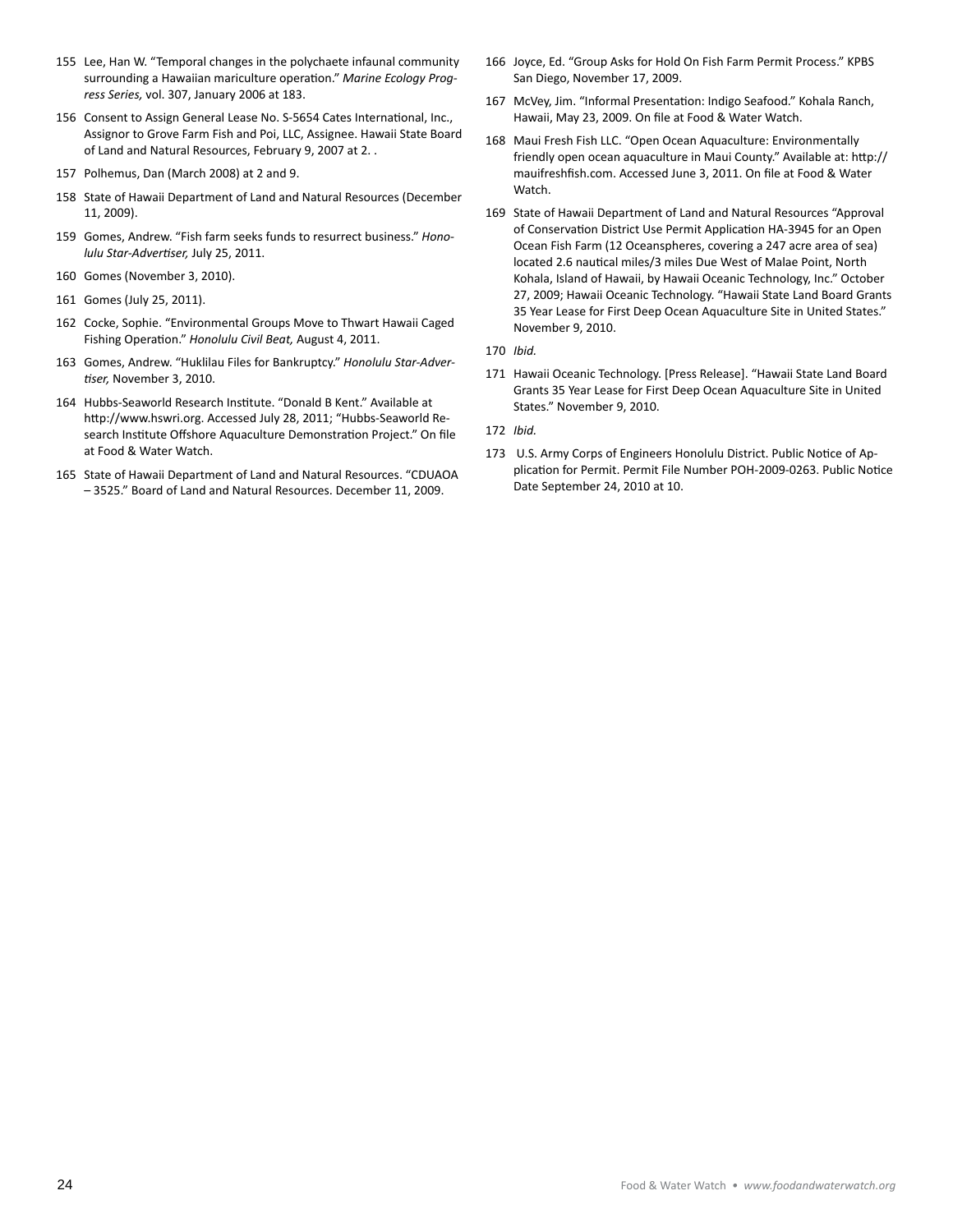- 155 Lee, Han W. "Temporal changes in the polychaete infaunal community surrounding a Hawaiian mariculture operation." *Marine Ecology Progress Series,* vol. 307, January 2006 at 183.
- 156 Consent to Assign General Lease No. S-5654 Cates International, Inc., Assignor to Grove Farm Fish and Poi, LLC, Assignee. Hawaii State Board of Land and Natural Resources, February 9, 2007 at 2. .
- 157 Polhemus, Dan (March 2008) at 2 and 9.
- 158 State of Hawaii Department of Land and Natural Resources (December 11, 2009).
- 159 Gomes, Andrew. "Fish farm seeks funds to resurrect business." *Honolulu Star-Advertiser,* July 25, 2011.
- 160 Gomes (November 3, 2010).
- 161 Gomes (July 25, 2011).
- 162 Cocke, Sophie. "Environmental Groups Move to Thwart Hawaii Caged Fishing Operation." *Honolulu Civil Beat,* August 4, 2011.
- 163 Gomes, Andrew. "Huklilau Files for Bankruptcy." *Honolulu Star-Advertiser,* November 3, 2010.
- 164 Hubbs-Seaworld Research Institute. "Donald B Kent." Available at http://www.hswri.org. Accessed July 28, 2011; "Hubbs-Seaworld Research Institute Offshore Aquaculture Demonstration Project." On file at Food & Water Watch.
- 165 State of Hawaii Department of Land and Natural Resources. "CDUAOA – 3525." Board of Land and Natural Resources. December 11, 2009.
- 166 Joyce, Ed. "Group Asks for Hold On Fish Farm Permit Process." KPBS San Diego, November 17, 2009.
- 167 McVey, Jim. "Informal Presentation: Indigo Seafood." Kohala Ranch, Hawaii, May 23, 2009. On file at Food & Water Watch.
- 168 Maui Fresh Fish LLC. "Open Ocean Aquaculture: Environmentally friendly open ocean aquaculture in Maui County." Available at: http:// mauifreshfish.com. Accessed June 3, 2011. On file at Food & Water Watch.
- 169 State of Hawaii Department of Land and Natural Resources "Approval of Conservation District Use Permit Application HA-3945 for an Open Ocean Fish Farm (12 Oceanspheres, covering a 247 acre area of sea) located 2.6 nautical miles/3 miles Due West of Malae Point, North Kohala, Island of Hawaii, by Hawaii Oceanic Technology, Inc." October 27, 2009; Hawaii Oceanic Technology. "Hawaii State Land Board Grants 35 Year Lease for First Deep Ocean Aquaculture Site in United States." November 9, 2010.
- 170 *Ibid.*
- 171 Hawaii Oceanic Technology. [Press Release]. "Hawaii State Land Board Grants 35 Year Lease for First Deep Ocean Aquaculture Site in United States." November 9, 2010.
- 172 *Ibid.*
- 173 U.S. Army Corps of Engineers Honolulu District. Public Notice of Application for Permit. Permit File Number POH-2009-0263. Public Notice Date September 24, 2010 at 10.